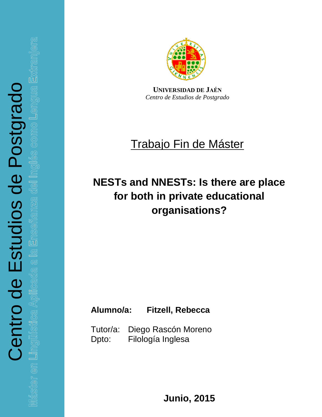a la Enseñanza del In<sub>i</sub> cada Ga Ap en Lingı



**UNIVERSIDAD DE JAÉN** *Centro de Estudios de Postgrado*

# Trabajo Fin de Máster

# **NESTs and NNESTs: Is there are place for both in private educational organisations?**

## **Alumno/a: Fitzell, Rebecca**

Tutor/a: Diego Rascón Moreno Dpto: Filología Inglesa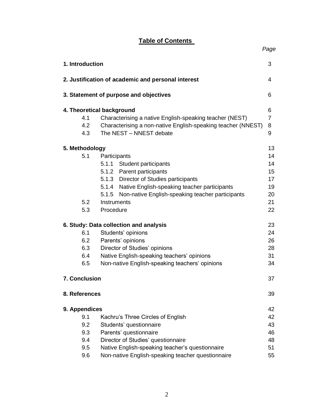### **Table of Contents**

*Page*

| 1. Introduction<br>3 |                      |                                                              |                |  |  |
|----------------------|----------------------|--------------------------------------------------------------|----------------|--|--|
|                      |                      | 2. Justification of academic and personal interest           | 4              |  |  |
|                      |                      | 3. Statement of purpose and objectives                       | 6              |  |  |
|                      |                      | 4. Theoretical background                                    | 6              |  |  |
|                      | 4.1                  | Characterising a native English-speaking teacher (NEST)      | $\overline{7}$ |  |  |
|                      | 4.2                  | Characterising a non-native English-speaking teacher (NNEST) | 8              |  |  |
|                      | 4.3                  | The NEST - NNEST debate                                      | 9              |  |  |
|                      | 5. Methodology       |                                                              | 13             |  |  |
|                      | 5.1                  | Participants                                                 | 14             |  |  |
|                      |                      | 5.1.1<br>Student participants                                | 14             |  |  |
|                      |                      | 5.1.2 Parent participants                                    | 15             |  |  |
|                      |                      | 5.1.3 Director of Studies participants                       | 17             |  |  |
|                      |                      | 5.1.4 Native English-speaking teacher participants           | 19             |  |  |
|                      |                      | Non-native English-speaking teacher participants<br>5.1.5    | 20             |  |  |
|                      | 5.2                  | Instruments                                                  | 21             |  |  |
|                      | 5.3                  | Procedure                                                    | 22             |  |  |
|                      |                      | 6. Study: Data collection and analysis                       | 23             |  |  |
|                      | 6.1                  | Students' opinions                                           | 24             |  |  |
|                      | 6.2                  | Parents' opinions                                            | 26             |  |  |
|                      | 6.3                  | Director of Studies' opinions                                | 28             |  |  |
|                      | 6.4                  | Native English-speaking teachers' opinions                   | 31             |  |  |
|                      | 6.5                  | Non-native English-speaking teachers' opinions               | 34             |  |  |
|                      | <b>7. Conclusion</b> |                                                              | 37             |  |  |
|                      | 8. References        |                                                              | 39             |  |  |
|                      | 9. Appendices        |                                                              | 42             |  |  |
|                      | 9.1                  | Kachru's Three Circles of English                            | 42             |  |  |
|                      | 9.2                  | Students' questionnaire                                      | 43             |  |  |
|                      | 9.3                  | Parents' questionnaire                                       | 46             |  |  |
|                      | 9.4                  | Director of Studies' questionnaire                           | 48             |  |  |
|                      | 9.5                  | Native English-speaking teacher's questionnaire              | 51             |  |  |
|                      | 9.6                  | Non-native English-speaking teacher questionnaire            | 55             |  |  |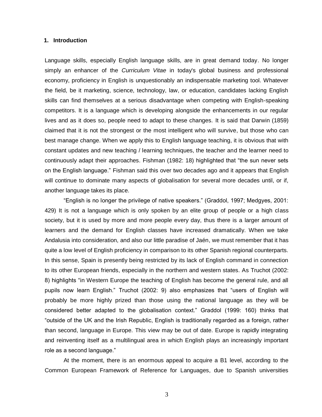#### **1. Introduction**

Language skills, especially English language skills, are in great demand today. No longer simply an enhancer of the *Curriculum Vitae* in today's global business and professional economy, proficiency in English is unquestionably an indispensable marketing tool. Whatever the field, be it marketing, science, technology, law, or education, candidates lacking English skills can find themselves at a serious disadvantage when competing with English-speaking competitors. It is a language which is developing alongside the enhancements in our regular lives and as it does so, people need to adapt to these changes. It is said that Darwin (1859) claimed that it is not the strongest or the most intelligent who will survive, but those who can best manage change. When we apply this to English language teaching, it is obvious that with constant updates and new teaching / learning techniques, the teacher and the learner need to continuously adapt their approaches. Fishman (1982: 18) highlighted that "the sun never sets on the English language." Fishman said this over two decades ago and it appears that English will continue to dominate many aspects of globalisation for several more decades until, or if, another language takes its place.

"English is no longer the privilege of native speakers." (Graddol, 1997; Medgyes, 2001: 429) It is not a language which is only spoken by an elite group of people or a high class society, but it is used by more and more people every day, thus there is a larger amount of learners and the demand for English classes have increased dramatically. When we take Andalusia into consideration, and also our little paradise of Jaén, we must remember that it has quite a low level of English proficiency in comparison to its other Spanish regional counterparts. In this sense, Spain is presently being restricted by its lack of English command in connection to its other European friends, especially in the northern and western states. As Truchot (2002: 8) highlights "in Western Europe the teaching of English has become the general rule, and all pupils now learn English." Truchot (2002: 9) also emphasizes that "users of English will probably be more highly prized than those using the national language as they will be considered better adapted to the globalisation context." Graddol (1999: 160) thinks that "outside of the UK and the Irish Republic, English is traditionally regarded as a foreign, rather than second, language in Europe. This view may be out of date. Europe is rapidly integrating and reinventing itself as a multilingual area in which English plays an increasingly important role as a second language."

At the moment, there is an enormous appeal to acquire a B1 level, according to the Common European Framework of Reference for Languages, due to Spanish universities

3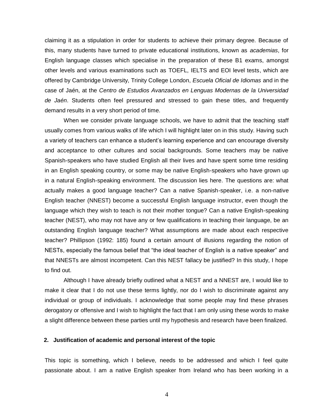claiming it as a stipulation in order for students to achieve their primary degree. Because of this, many students have turned to private educational institutions, known as *academias*, for English language classes which specialise in the preparation of these B1 exams, amongst other levels and various examinations such as TOEFL, IELTS and EOI level tests, which are offered by Cambridge University, Trinity College London, *Escuela Oficial de Idiomas* and in the case of Jaén, at the *Centro de Estudios Avanzados en Lenguas Modernas de la Universidad de Jaén*. Students often feel pressured and stressed to gain these titles, and frequently demand results in a very short period of time.

When we consider private language schools, we have to admit that the teaching staff usually comes from various walks of life which I will highlight later on in this study. Having such a variety of teachers can enhance a student's learning experience and can encourage diversity and acceptance to other cultures and social backgrounds. Some teachers may be native Spanish-speakers who have studied English all their lives and have spent some time residing in an English speaking country, or some may be native English-speakers who have grown up in a natural English-speaking environment. The discussion lies here. The questions are: what actually makes a good language teacher? Can a native Spanish-speaker, i.e. a non-native English teacher (NNEST) become a successful English language instructor, even though the language which they wish to teach is not their mother tongue? Can a native English-speaking teacher (NEST), who may not have any or few qualifications in teaching their language, be an outstanding English language teacher? What assumptions are made about each respective teacher? Phillipson (1992: 185) found a certain amount of illusions regarding the notion of NESTs, especially the famous belief that "the ideal teacher of English is a native speaker" and that NNESTs are almost incompetent. Can this NEST fallacy be justified? In this study, I hope to find out.

Although I have already briefly outlined what a NEST and a NNEST are, I would like to make it clear that I do not use these terms lightly, nor do I wish to discriminate against any individual or group of individuals. I acknowledge that some people may find these phrases derogatory or offensive and I wish to highlight the fact that I am only using these words to make a slight difference between these parties until my hypothesis and research have been finalized.

#### **2. Justification of academic and personal interest of the topic**

This topic is something, which I believe, needs to be addressed and which I feel quite passionate about. I am a native English speaker from Ireland who has been working in a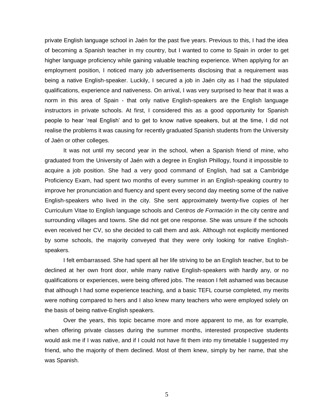private English language school in Jaén for the past five years. Previous to this, I had the idea of becoming a Spanish teacher in my country, but I wanted to come to Spain in order to get higher language proficiency while gaining valuable teaching experience. When applying for an employment position, I noticed many job advertisements disclosing that a requirement was being a native English-speaker. Luckily, I secured a job in Jaén city as I had the stipulated qualifications, experience and nativeness. On arrival, I was very surprised to hear that it was a norm in this area of Spain - that only native English-speakers are the English language instructors in private schools. At first, I considered this as a good opportunity for Spanish people to hear 'real English' and to get to know native speakers, but at the time, I did not realise the problems it was causing for recently graduated Spanish students from the University of Jaén or other colleges.

It was not until my second year in the school, when a Spanish friend of mine, who graduated from the University of Jaén with a degree in English Phillogy, found it impossible to acquire a job position. She had a very good command of English, had sat a Cambridge Proficiency Exam, had spent two months of every summer in an English-speaking country to improve her pronunciation and fluency and spent every second day meeting some of the native English-speakers who lived in the city. She sent approximately twenty-five copies of her Curriculum Vitae to English language schools and C*entros de Formación* in the city centre and surrounding villages and towns. She did not get one response. She was unsure if the schools even received her CV, so she decided to call them and ask. Although not explicitly mentioned by some schools, the majority conveyed that they were only looking for native Englishspeakers.

I felt embarrassed. She had spent all her life striving to be an English teacher, but to be declined at her own front door, while many native English-speakers with hardly any, or no qualifications or experiences, were being offered jobs. The reason I felt ashamed was because that although I had some experience teaching, and a basic TEFL course completed, my merits were nothing compared to hers and I also knew many teachers who were employed solely on the basis of being native-English speakers.

Over the years, this topic became more and more apparent to me, as for example, when offering private classes during the summer months, interested prospective students would ask me if I was native, and if I could not have fit them into my timetable I suggested my friend, who the majority of them declined. Most of them knew, simply by her name, that she was Spanish.

5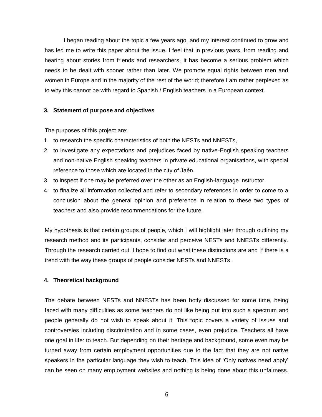I began reading about the topic a few years ago, and my interest continued to grow and has led me to write this paper about the issue. I feel that in previous years, from reading and hearing about stories from friends and researchers, it has become a serious problem which needs to be dealt with sooner rather than later. We promote equal rights between men and women in Europe and in the majority of the rest of the world; therefore I am rather perplexed as to why this cannot be with regard to Spanish / English teachers in a European context.

#### **3. Statement of purpose and objectives**

The purposes of this project are:

- 1. to research the specific characteristics of both the NESTs and NNESTs,
- 2. to investigate any expectations and prejudices faced by native-English speaking teachers and non-native English speaking teachers in private educational organisations, with special reference to those which are located in the city of Jaén.
- 3. to inspect if one may be preferred over the other as an English-language instructor.
- 4. to finalize all information collected and refer to secondary references in order to come to a conclusion about the general opinion and preference in relation to these two types of teachers and also provide recommendations for the future.

My hypothesis is that certain groups of people, which I will highlight later through outlining my research method and its participants, consider and perceive NESTs and NNESTs differently. Through the research carried out, I hope to find out what these distinctions are and if there is a trend with the way these groups of people consider NESTs and NNESTs.

#### **4. Theoretical background**

The debate between NESTs and NNESTs has been hotly discussed for some time, being faced with many difficulties as some teachers do not like being put into such a spectrum and people generally do not wish to speak about it. This topic covers a variety of issues and controversies including discrimination and in some cases, even prejudice. Teachers all have one goal in life: to teach. But depending on their heritage and background, some even may be turned away from certain employment opportunities due to the fact that they are not native speakers in the particular language they wish to teach. This idea of 'Only natives need apply' can be seen on many employment websites and nothing is being done about this unfairness.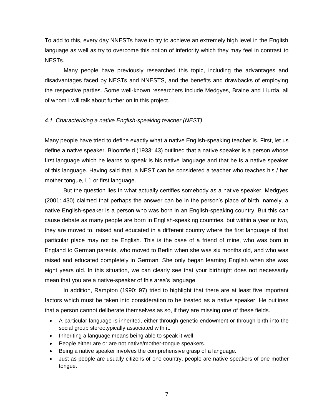To add to this, every day NNESTs have to try to achieve an extremely high level in the English language as well as try to overcome this notion of inferiority which they may feel in contrast to NESTs.

Many people have previously researched this topic, including the advantages and disadvantages faced by NESTs and NNESTS, and the benefits and drawbacks of employing the respective parties. Some well-known researchers include Medgyes, Braine and Llurda, all of whom I will talk about further on in this project.

#### *4.1 Characterising a native English-speaking teacher (NEST)*

Many people have tried to define exactly what a native English-speaking teacher is. First, let us define a native speaker. Bloomfield (1933: 43) outlined that a native speaker is a person whose first language which he learns to speak is his native language and that he is a native speaker of this language. Having said that, a NEST can be considered a teacher who teaches his / her mother tongue, L1 or first language.

But the question lies in what actually certifies somebody as a native speaker. Medgyes (2001: 430) claimed that perhaps the answer can be in the person's place of birth, namely, a native English-speaker is a person who was born in an English-speaking country. But this can cause debate as many people are born in English-speaking countries, but within a year or two, they are moved to, raised and educated in a different country where the first language of that particular place may not be English. This is the case of a friend of mine, who was born in England to German parents, who moved to Berlin when she was six months old, and who was raised and educated completely in German. She only began learning English when she was eight years old. In this situation, we can clearly see that your birthright does not necessarily mean that you are a native-speaker of this area's language.

In addition, Rampton (1990: 97) tried to highlight that there are at least five important factors which must be taken into consideration to be treated as a native speaker. He outlines that a person cannot deliberate themselves as so, if they are missing one of these fields.

- A particular language is inherited, either through genetic endowment or through birth into the social group stereotypically associated with it.
- Inheriting a language means being able to speak it well.
- People either are or are not native/mother-tongue speakers.
- Being a native speaker involves the comprehensive grasp of a language.
- Just as people are usually citizens of one country, people are native speakers of one mother tongue.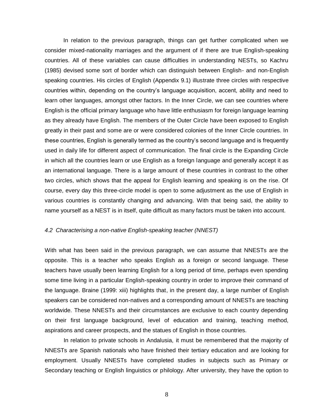In relation to the previous paragraph, things can get further complicated when we consider mixed-nationality marriages and the argument of if there are true English-speaking countries. All of these variables can cause difficulties in understanding NESTs, so Kachru (1985) devised some sort of border which can distinguish between English- and non-English speaking countries. His circles of English (Appendix 9.1) illustrate three circles with respective countries within, depending on the country's language acquisition, accent, ability and need to learn other languages, amongst other factors. In the Inner Circle, we can see countries where English is the official primary language who have little enthusiasm for foreign language learning as they already have English. The members of the Outer Circle have been exposed to English greatly in their past and some are or were considered colonies of the Inner Circle countries. In these countries, English is generally termed as the country's second language and is frequently used in daily life for different aspect of communication. The final circle is the Expanding Circle in which all the countries learn or use English as a foreign language and generally accept it as an international language. There is a large amount of these countries in contrast to the other two circles, which shows that the appeal for English learning and speaking is on the rise. Of course, every day this three-circle model is open to some adjustment as the use of English in various countries is constantly changing and advancing. With that being said, the ability to name yourself as a NEST is in itself, quite difficult as many factors must be taken into account.

#### *4.2 Characterising a non-native English-speaking teacher (NNEST)*

With what has been said in the previous paragraph, we can assume that NNESTs are the opposite. This is a teacher who speaks English as a foreign or second language. These teachers have usually been learning English for a long period of time, perhaps even spending some time living in a particular English-speaking country in order to improve their command of the language. Braine (1999: xiii) highlights that, in the present day, a large number of English speakers can be considered non-natives and a corresponding amount of NNESTs are teaching worldwide. These NNESTs and their circumstances are exclusive to each country depending on their first language background, level of education and training, teaching method, aspirations and career prospects, and the statues of English in those countries.

In relation to private schools in Andalusia, it must be remembered that the majority of NNESTs are Spanish nationals who have finished their tertiary education and are looking for employment. Usually NNESTs have completed studies in subjects such as Primary or Secondary teaching or English linguistics or philology. After university, they have the option to

8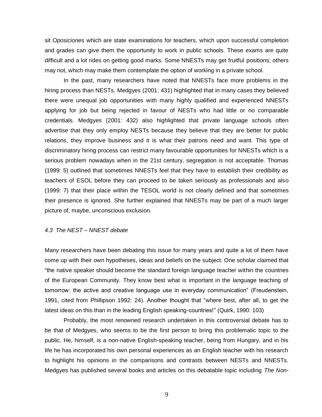sit *Oposiciones* which are state examinations for teachers, which upon successful completion and grades can give them the opportunity to work in public schools. These exams are quite difficult and a lot rides on getting good marks. Some NNESTs may get fruitful positions; others may not, which may make them contemplate the option of working in a private school.

In the past, many researchers have noted that NNESTs face more problems in the hiring process than NESTs. Medgyes (2001: 431) highlighted that in many cases they believed there were unequal job opportunities with many highly qualified and experienced NNESTs applying for job but being rejected in favour of NESTs who had little or no comparable credentials. Medgyes (2001: 432) also highlighted that private language schools often advertise that they only employ NESTs because they believe that they are better for public relations, they improve business and it is what their patrons need and want. This type of discriminatory hiring process can restrict many favourable opportunities for NNESTs which is a serious problem nowadays when in the 21st century, segregation is not acceptable. Thomas (1999: 5) outlined that sometimes NNESTs feel that they have to establish their credibility as teachers of ESOL before they can proceed to be taken seriously as professionals and also (1999: 7) that their place within the TESOL world is not clearly defined and that sometimes their presence is ignored. She further explained that NNESTs may be part of a much larger picture of, maybe, unconscious exclusion.

#### *4.3 The NEST – NNEST debate*

Many researchers have been debating this issue for many years and quite a lot of them have come up with their own hypotheses, ideas and beliefs on the subject. One scholar claimed that "the native speaker should become the standard foreign language teacher within the countries of the European Community. They know best what is important in the language teaching of tomorrow: the active and creative language use in everyday communication" (Freudenstein, 1991, cited from Phillipson 1992: 24). Another thought that "where best, after all, to get the latest ideas on this than in the leading English speaking-countries!" (Quirk, 1990: 103)

Probably, the most renowned research undertaken in this controversial debate has to be that of Medgyes, who seems to be the first person to bring this problematic topic to the public. He, himself, is a non-native English-speaking teacher, being from Hungary, and in his life he has incorporated his own personal experiences as an English teacher with his research to highlight his opinions in the comparisons and contrasts between NESTs and NNESTs. Medgyes has published several books and articles on this debatable topic including *The Non-*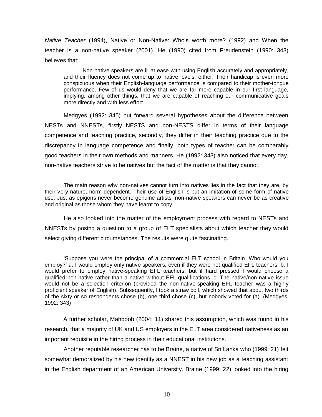*Native Teacher* (1994), Native or Non-Native: Who's worth more? (1992) and When the teacher is a non-native speaker (2001). He (1990) cited from Freudenstein (1990: 343) believes that:

Non-native speakers are ill at ease with using English accurately and appropriately, and their fluency does not come up to native levels, either. Their handicap is even more conspicuous when their English-language performance is compared to their mother-tongue performance. Few of us would deny that we are far more capable in our first language, implying, among other things, that we are capable of reaching our communicative goals more directly and with less effort.

Medgyes (1992: 345) put forward several hypotheses about the difference between NESTs and NNESTs, firstly NESTS and non-NESTS differ in terms of their language competence and teaching practice, secondly, they differ in their teaching practice due to the discrepancy in language competence and finally, both types of teacher can be comparably good teachers in their own methods and manners. He (1992: 343) also noticed that every day, non-native teachers strive to be natives but the fact of the matter is that they cannot.

The main reason why non-natives cannot turn into natives lies in the fact that they are, by their very nature, norm-dependent. Their use of English is but an imitation of some form of native use. Just as epigons never become genuine artists, non-native speakers can never be as creative and original as those whom they have learnt to copy.

He also looked into the matter of the employment process with regard to NESTs and NNESTs by posing a question to a group of ELT specialists about which teacher they would select giving different circumstances. The results were quite fascinating.

'Suppose you were the principal of a commercial ELT school in Britain. Who would you employ?' a. I would employ only native speakers, even if they were not qualified EFL teachers. b. I would prefer to employ native-speaking EFL teachers, but if hard pressed I would choose a qualified non-native rather than a native without EFL qualifications. c. The native/non-native issue would not be a selection criterion (provided the non-native-speaking EFL teacher was a highly proficient speaker of English). Subsequently, I took a straw poll, which showed that about two thirds of the sixty or so respondents chose (b), one third chose (c), but nobody voted for (a). (Medgyes, 1992: 343)

A further scholar, Mahboob (2004: 11) shared this assumption, which was found in his research, that a majority of UK and US employers in the ELT area considered nativeness as an important requisite in the hiring process in their educational institutions.

Another reputable researcher has to be Braine, a native of Sri Lanka who (1999: 21) felt somewhat demoralized by his new identity as a NNEST in his new job as a teaching assistant in the English department of an American University. Braine (1999: 22) looked into the hiring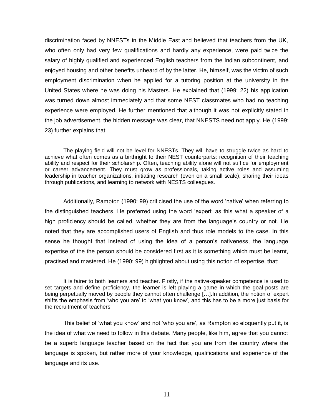discrimination faced by NNESTs in the Middle East and believed that teachers from the UK, who often only had very few qualifications and hardly any experience, were paid twice the salary of highly qualified and experienced English teachers from the Indian subcontinent, and enjoyed housing and other benefits unheard of by the latter. He, himself, was the victim of such employment discrimination when he applied for a tutoring position at the university in the United States where he was doing his Masters. He explained that (1999: 22) his application was turned down almost immediately and that some NEST classmates who had no teaching experience were employed. He further mentioned that although it was not explicitly stated in the job advertisement, the hidden message was clear, that NNESTS need not apply. He (1999: 23) further explains that:

The playing field will not be level for NNESTs. They will have to struggle twice as hard to achieve what often comes as a birthright to their NEST counterparts: recognition of their teaching ability and respect for their scholarship. Often, teaching ability alone will not suffice for employment or career advancement. They must grow as professionals, taking active roles and assuming leadership in teacher organizations, initiating research (even on a small scale), sharing their ideas through publications, and learning to network with NESTS colleagues.

Additionally, Rampton (1990: 99) criticised the use of the word 'native' when referring to the distinguished teachers. He preferred using the word 'expert' as this what a speaker of a high proficiency should be called, whether they are from the language's country or not. He noted that they are accomplished users of English and thus role models to the case. In this sense he thought that instead of using the idea of a person's nativeness, the language expertise of the the person should be considered first as it is something which must be learnt, practised and mastered. He (1990: 99) highlighted about using this notion of expertise, that:

It is fairer to both learners and teacher. Firstly, if the native-speaker competence is used to set targets and define proficiency, the learner is left playing a game in which the goal-posts are being perpetually moved by people they cannot often challenge […].In addition, the notion of expert shifts the emphasis from 'who you are' to 'what you know', and this has to be a more just basis for the recruitment of teachers.

This belief of 'what you know' and not 'who you are', as Rampton so eloquently put it, is the idea of what we need to follow in this debate. Many people, like him, agree that you cannot be a superb language teacher based on the fact that you are from the country where the language is spoken, but rather more of your knowledge, qualifications and experience of the language and its use.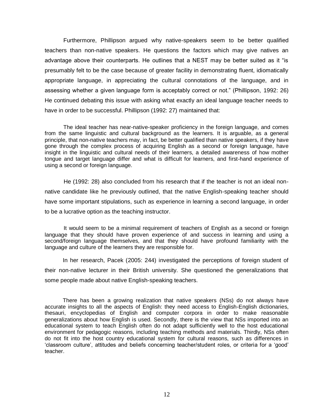Furthermore, Phillipson argued why native-speakers seem to be better qualified teachers than non-native speakers. He questions the factors which may give natives an advantage above their counterparts. He outlines that a NEST may be better suited as it "is presumably felt to be the case because of greater facility in demonstrating fluent, idiomatically appropriate language, in appreciating the cultural connotations of the language, and in assessing whether a given language form is acceptably correct or not." (Phillipson, 1992: 26) He continued debating this issue with asking what exactly an ideal language teacher needs to have in order to be successful. Phillipson (1992: 27) maintained that:

The ideal teacher has near-native-speaker proficiency in the foreign language, and comes from the same linguistic and cultural background as the learners. It is arguable, as a general principle, that non-native teachers may, in fact, be better qualified than native speakers, if they have gone through the complex process of acquiring English as a second or foreign language, have insight in the linguistic and cultural needs of their learners, a detailed awareness of how mother tongue and target language differ and what is difficult for learners, and first-hand experience of using a second or foreign language.

He (1992: 28) also concluded from his research that if the teacher is not an ideal nonnative candidate like he previously outlined, that the native English-speaking teacher should have some important stipulations, such as experience in learning a second language, in order to be a lucrative option as the teaching instructor.

It would seem to be a minimal requirement of teachers of English as a second or foreign language that they should have proven experience of and success in learning and using a second/foreign language themselves, and that they should have profound familiarity with the language and culture of the learners they are responsible for.

In her research, Pacek (2005: 244) investigated the perceptions of foreign student of their non-native lecturer in their British university. She questioned the generalizations that some people made about native English-speaking teachers.

There has been a growing realization that native speakers (NSs) do not always have accurate insights to all the aspects of English: they need access to English-English dictionaries, thesauri, encyclopedias of English and computer corpora in order to make reasonable generalizations about how English is used. Secondly, there is the view that NSs imported into an educational system to teach English often do not adapt sufficiently well to the host educational environment for pedagogic reasons, including teaching methods and materials. Thirdly, NSs often do not fit into the host country educational system for cultural reasons, such as differences in 'classroom culture', attitudes and beliefs concerning teacher/student roles, or criteria for a 'good' teacher.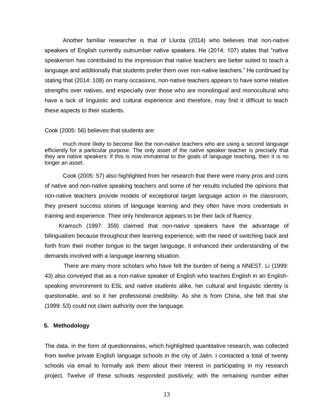Another familiar researcher is that of Llurda (2014) who believes that non-native speakers of English currently outnumber native speakers. He (2014: 107) states that "native speakerism has contributed to the impression that native teachers are better suited to teach a language and additionally that students prefer them over non-native teachers." He continued by stating that (2014: 108) on many occasions, non-native teachers appears to have some relative strengths over natives, and especially over those who are monolingual and monocultural who have a lack of linguistic and cultural experience and therefore, may find it difficult to teach these aspects to their students.

#### Cook (2005: 56) believes that students are:

much more likely to become like the non-native teachers who are using a second language efficiently for a particular purpose. The only asset of the native speaker teacher is precisely that they are native speakers: if this is now immaterial to the goals of language teaching, then it is no longer an asset.

Cook (2005: 57) also highlighted from her research that there were many pros and cons of native and non-native speaking teachers and some of her results included the opinions that non-native teachers provide models of exceptional target language action in the classroom, they present success stories of language learning and they often have more credentials in training and experience. Their only hinderance appears to be their lack of fluency.

Kramsch (1997: 359) claimed that non-native speakers have the advantage of bilingualism because throughout their learning experience, with the need of switching back and forth from their mother tongue to the target language, it enhanced their understanding of the demands involved with a language learning situation.

There are many more scholars who have felt the burden of being a NNEST. Li (1999: 43) also conveyed that as a non-native speaker of English who teaches English in an Englishspeaking environment to ESL and native students alike, her cultural and linguistic identity is questionable, and so it her professional credibility. As she is from China, she felt that she (1999: 53) could not claim authority over the language.

#### **5. Methodology**

The data, in the form of questionnaires, which highlighted quantitative research, was collected from twelve private English language schools in the city of Jaén. I contacted a total of twenty schools via email to formally ask them about their interest in participating in my research project. Twelve of these schools responded positively; with the remaining number either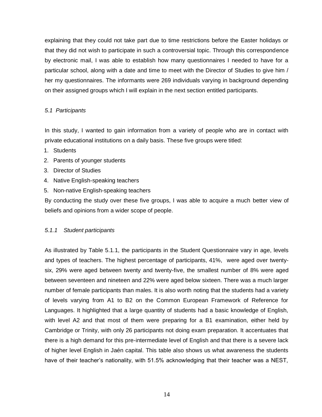explaining that they could not take part due to time restrictions before the Easter holidays or that they did not wish to participate in such a controversial topic. Through this correspondence by electronic mail, I was able to establish how many questionnaires I needed to have for a particular school, along with a date and time to meet with the Director of Studies to give him / her my questionnaires. The informants were 269 individuals varying in background depending on their assigned groups which I will explain in the next section entitled participants.

#### *5.1 Participants*

In this study, I wanted to gain information from a variety of people who are in contact with private educational institutions on a daily basis. These five groups were titled:

- 1. Students
- 2. Parents of younger students
- 3. Director of Studies
- 4. Native English-speaking teachers
- 5. Non-native English-speaking teachers

By conducting the study over these five groups, I was able to acquire a much better view of beliefs and opinions from a wider scope of people.

#### *5.1.1 Student participants*

As illustrated by Table 5.1.1, the participants in the Student Questionnaire vary in age, levels and types of teachers. The highest percentage of participants, 41%, were aged over twentysix, 29% were aged between twenty and twenty-five, the smallest number of 8% were aged between seventeen and nineteen and 22% were aged below sixteen. There was a much larger number of female participants than males. It is also worth noting that the students had a variety of levels varying from A1 to B2 on the Common European Framework of Reference for Languages. It highlighted that a large quantity of students had a basic knowledge of English, with level A2 and that most of them were preparing for a B1 examination, either held by Cambridge or Trinity, with only 26 participants not doing exam preparation. It accentuates that there is a high demand for this pre-intermediate level of English and that there is a severe lack of higher level English in Jaén capital. This table also shows us what awareness the students have of their teacher's nationality, with 51.5% acknowledging that their teacher was a NEST,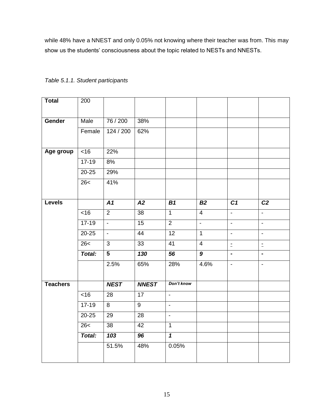while 48% have a NNEST and only 0.05% not knowing where their teacher was from. This may show us the students' consciousness about the topic related to NESTs and NNESTs.

| <b>Total</b>    | 200              |                           |                 |                         |                           |                           |                          |
|-----------------|------------------|---------------------------|-----------------|-------------------------|---------------------------|---------------------------|--------------------------|
|                 |                  |                           |                 |                         |                           |                           |                          |
| Gender          | Male             | 76 / 200                  | 38%             |                         |                           |                           |                          |
|                 | Female           | 124 / 200                 | 62%             |                         |                           |                           |                          |
| Age group       | <16              | 22%                       |                 |                         |                           |                           |                          |
|                 | $17 - 19$        | 8%                        |                 |                         |                           |                           |                          |
|                 | $20 - 25$        | 29%                       |                 |                         |                           |                           |                          |
|                 | 26<              | 41%                       |                 |                         |                           |                           |                          |
|                 |                  |                           |                 |                         |                           |                           |                          |
| <b>Levels</b>   |                  | A1                        | $\overline{A2}$ | $\overline{B1}$         | B2                        | $\overline{C1}$           | $\overline{C2}$          |
|                 | $\overline{<}16$ | $\overline{2}$            | $\overline{38}$ | $\overline{1}$          | $\overline{4}$            | $\mathbf{r}$              | $\overline{\phantom{0}}$ |
|                 | $17-19$          | $\mathbb{L}^{\mathbb{Z}}$ | 15              | $\overline{2}$          | $\mathbb{Z}^{\mathbb{Z}}$ | $\mathbb{Z}^{\mathbb{Z}}$ | $\mathbf{r}$             |
|                 | 20-25            | $\blacksquare$            | 44              | 12                      | $\mathbf{1}$              | $\blacksquare$            | $\blacksquare$           |
|                 | 26<              | $\mathbf{3}$              | 33              | 41                      | $\overline{4}$            | $\overline{z}$            | $\bar{\mathbb{Z}}$       |
|                 | Total:           | $\overline{5}$            | 130             | 56                      | $\boldsymbol{9}$          | $\blacksquare$            | $\blacksquare$           |
|                 |                  | 2.5%                      | 65%             | 28%                     | 4.6%                      | $\blacksquare$            | $\blacksquare$           |
|                 |                  |                           |                 |                         |                           |                           |                          |
| <b>Teachers</b> |                  | <b>NEST</b>               | <b>NNEST</b>    | Don't know              |                           |                           |                          |
|                 | $\overline{5}$   | 28                        | $\overline{17}$ | $\omega$                |                           |                           |                          |
|                 | $17 - 19$        | 8                         | $\overline{9}$  | $\blacksquare$          |                           |                           |                          |
|                 | $20 - 25$        | 29                        | 28              | $\blacksquare$          |                           |                           |                          |
|                 | 26<              | 38                        | 42              | $\mathbf{1}$            |                           |                           |                          |
|                 | Total:           | 103                       | 96              | $\overline{\mathbf{1}}$ |                           |                           |                          |
|                 |                  | 51.5%                     | 48%             | 0.05%                   |                           |                           |                          |

#### *Table 5.1.1. Student participants*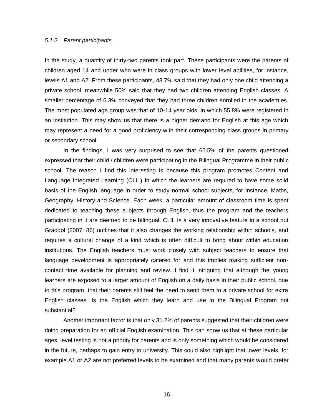#### *5.1.2 Parent participants*

In the study, a quantity of thirty-two parents took part. These participants were the parents of children aged 14 and under who were in class groups with lower level abilities, for instance, levels A1 and A2. From these participants, 43.7% said that they had only one child attending a private school, meanwhile 50% said that they had two children attending English classes. A smaller percentage of 6.3% conveyed that they had three children enrolled in the academies. The most populated age group was that of 10-14 year olds, in which 55.8% were registered in an institution. This may show us that there is a higher demand for English at this age which may represent a need for a good proficiency with their corresponding class groups in primary or secondary school.

In the findings, I was very surprised to see that 65.5% of the parents questioned expressed that their child / children were participating in the Bilingual Programme in their public school. The reason I find this interesting is because this program promotes Content and Language Integrated Learning (CLIL) in which the learners are required to have some solid basis of the English language in order to study normal school subjects, for instance, Maths, Geography, History and Science. Each week, a particular amount of classroom time is spent dedicated to teaching these subjects through English, thus the program and the teachers participating in it are deemed to be bilingual. CLIL is a very innovative feature in a school but Graddol (2007: 86) outlines that it also changes the working relationship within schools, and requires a cultural change of a kind which is often difficult to bring about within education institutions. The English teachers must work closely with subject teachers to ensure that language development is appropriately catered for and this implies making sufficient noncontact time available for planning and review. I find it intriguing that although the young learners are exposed to a larger amount of English on a daily basis in their public school, due to this program, that their parents still feel the need to send them to a private school for extra English classes. Is the English which they learn and use in the Bilingual Program not substantial?

Another important factor is that only 31.2% of parents suggested that their children were doing preparation for an official English examination. This can show us that at these particular ages, level testing is not a priority for parents and is only something which would be considered in the future, perhaps to gain entry to university. This could also highlight that lower levels, for example A1 or A2 are not preferred levels to be examined and that many parents would prefer

16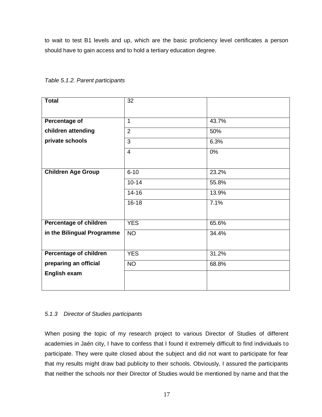to wait to test B1 levels and up, which are the basic proficiency level certificates a person should have to gain access and to hold a tertiary education degree.

| <b>Total</b>                  | 32             |       |
|-------------------------------|----------------|-------|
|                               |                |       |
| Percentage of                 | 1              | 43.7% |
| children attending            | $\overline{2}$ | 50%   |
| private schools               | 3              | 6.3%  |
|                               | $\overline{4}$ | 0%    |
|                               |                |       |
| <b>Children Age Group</b>     | $6 - 10$       | 23.2% |
|                               | $10 - 14$      | 55.8% |
|                               | $14 - 16$      | 13.9% |
|                               | $16 - 18$      | 7.1%  |
|                               |                |       |
| Percentage of children        | <b>YES</b>     | 65.6% |
| in the Bilingual Programme    | <b>NO</b>      | 34.4% |
|                               |                |       |
| <b>Percentage of children</b> | <b>YES</b>     | 31.2% |
| preparing an official         | N <sub>O</sub> | 68.8% |
| English exam                  |                |       |
|                               |                |       |

*Table 5.1.2. Parent participants* 

#### *5.1.3 Director of Studies participants*

When posing the topic of my research project to various Director of Studies of different academies in Jaén city, I have to confess that I found it extremely difficult to find individuals to participate. They were quite closed about the subject and did not want to participate for fear that my results might draw bad publicity to their schools. Obviously, I assured the participants that neither the schools nor their Director of Studies would be mentioned by name and that the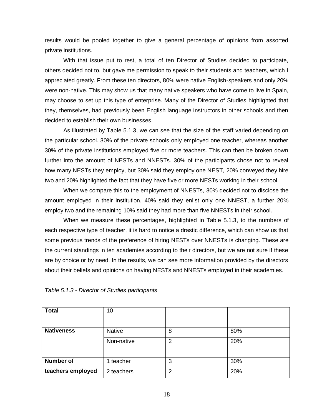results would be pooled together to give a general percentage of opinions from assorted private institutions.

With that issue put to rest, a total of ten Director of Studies decided to participate, others decided not to, but gave me permission to speak to their students and teachers, which I appreciated greatly. From these ten directors, 80% were native English-speakers and only 20% were non-native. This may show us that many native speakers who have come to live in Spain, may choose to set up this type of enterprise. Many of the Director of Studies highlighted that they, themselves, had previously been English language instructors in other schools and then decided to establish their own businesses.

As illustrated by Table 5.1.3, we can see that the size of the staff varied depending on the particular school. 30% of the private schools only employed one teacher, whereas another 30% of the private institutions employed five or more teachers. This can then be broken down further into the amount of NESTs and NNESTs. 30% of the participants chose not to reveal how many NESTs they employ, but 30% said they employ one NEST, 20% conveyed they hire two and 20% highlighted the fact that they have five or more NESTs working in their school.

When we compare this to the employment of NNESTs, 30% decided not to disclose the amount employed in their institution, 40% said they enlist only one NNEST, a further 20% employ two and the remaining 10% said they had more than five NNESTs in their school.

When we measure these percentages, highlighted in Table 5.1.3, to the numbers of each respective type of teacher, it is hard to notice a drastic difference, which can show us that some previous trends of the preference of hiring NESTs over NNESTs is changing. These are the current standings in ten academies according to their directors, but we are not sure if these are by choice or by need. In the results, we can see more information provided by the directors about their beliefs and opinions on having NESTs and NNESTs employed in their academies.

| <b>Total</b>      | 10            |   |     |
|-------------------|---------------|---|-----|
| <b>Nativeness</b> | <b>Native</b> | 8 | 80% |
|                   | Non-native    | 2 | 20% |
| <b>Number of</b>  | teacher<br>1  | 3 | 30% |
| teachers employed | 2 teachers    | 2 | 20% |

| Table 5.1.3 - Director of Studies participants |  |  |  |  |
|------------------------------------------------|--|--|--|--|
|------------------------------------------------|--|--|--|--|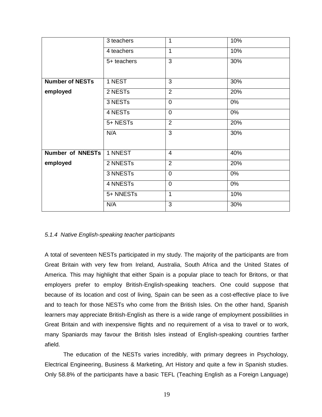|                         | 3 teachers  | $\mathbf{1}$   | 10% |
|-------------------------|-------------|----------------|-----|
|                         | 4 teachers  | $\overline{1}$ | 10% |
|                         | 5+ teachers | 3              | 30% |
| <b>Number of NESTs</b>  | 1 NEST      | 3              | 30% |
| employed                | 2 NESTs     | $\overline{2}$ | 20% |
|                         | 3 NESTs     | $\overline{0}$ | 0%  |
|                         | 4 NESTs     | $\overline{0}$ | 0%  |
|                         | 5+ NESTs    | $\overline{2}$ | 20% |
|                         | N/A         | $\overline{3}$ | 30% |
| <b>Number of NNESTs</b> | 1 NNEST     | $\overline{4}$ | 40% |
| employed                | 2 NNESTs    | $\overline{2}$ | 20% |
|                         | 3 NNESTs    | $\overline{0}$ | 0%  |
|                         | 4 NNESTs    | $\overline{0}$ | 0%  |
|                         | 5+ NNESTs   | 1              | 10% |
|                         | N/A         | 3              | 30% |

#### *5.1.4 Native English-speaking teacher participants*

A total of seventeen NESTs participated in my study. The majority of the participants are from Great Britain with very few from Ireland, Australia, South Africa and the United States of America. This may highlight that either Spain is a popular place to teach for Britons, or that employers prefer to employ British-English-speaking teachers. One could suppose that because of its location and cost of living, Spain can be seen as a cost-effective place to live and to teach for those NESTs who come from the British Isles. On the other hand, Spanish learners may appreciate British-English as there is a wide range of employment possibilities in Great Britain and with inexpensive flights and no requirement of a visa to travel or to work, many Spaniards may favour the British Isles instead of English-speaking countries farther afield.

The education of the NESTs varies incredibly, with primary degrees in Psychology, Electrical Engineering, Business & Marketing, Art History and quite a few in Spanish studies. Only 58.8% of the participants have a basic TEFL (Teaching English as a Foreign Language)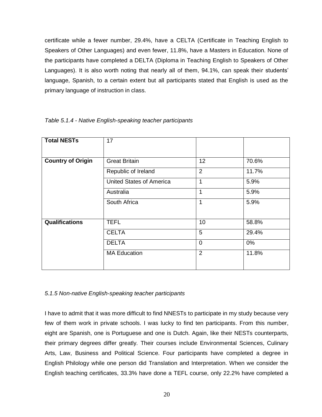certificate while a fewer number, 29.4%, have a CELTA (Certificate in Teaching English to Speakers of Other Languages) and even fewer, 11.8%, have a Masters in Education. None of the participants have completed a DELTA (Diploma in Teaching English to Speakers of Other Languages). It is also worth noting that nearly all of them, 94.1%, can speak their students' language, Spanish, to a certain extent but all participants stated that English is used as the primary language of instruction in class.

| <b>Total NESTs</b>       |                                 |                |       |
|--------------------------|---------------------------------|----------------|-------|
|                          | 17                              |                |       |
|                          |                                 |                |       |
|                          |                                 |                |       |
| <b>Country of Origin</b> | <b>Great Britain</b>            | 12             | 70.6% |
|                          | Republic of Ireland             | $\overline{2}$ | 11.7% |
|                          | <b>United States of America</b> | 1              | 5.9%  |
|                          | Australia                       | 1              | 5.9%  |
|                          | South Africa                    | 1              | 5.9%  |
|                          |                                 |                |       |
| <b>Qualifications</b>    | <b>TEFL</b>                     | 10             | 58.8% |
|                          | <b>CELTA</b>                    | 5              | 29.4% |
|                          | <b>DELTA</b>                    | $\Omega$       | $0\%$ |
|                          | <b>MA Education</b>             | $\overline{2}$ | 11.8% |
|                          |                                 |                |       |

#### *Table 5.1.4 - Native English-speaking teacher participants*

#### *5.1.5 Non-native English-speaking teacher participants*

I have to admit that it was more difficult to find NNESTs to participate in my study because very few of them work in private schools. I was lucky to find ten participants. From this number, eight are Spanish, one is Portuguese and one is Dutch. Again, like their NESTs counterparts, their primary degrees differ greatly. Their courses include Environmental Sciences, Culinary Arts, Law, Business and Political Science. Four participants have completed a degree in English Philology while one person did Translation and Interpretation. When we consider the English teaching certificates, 33.3% have done a TEFL course, only 22.2% have completed a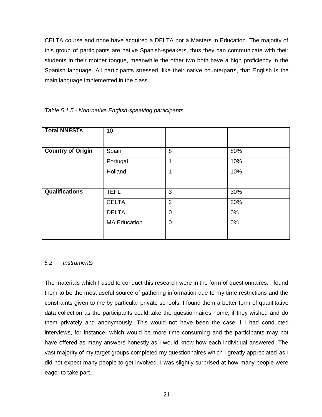CELTA course and none have acquired a DELTA nor a Masters in Education. The majority of this group of participants are native Spanish-speakers, thus they can communicate with their students in their mother tongue, meanwhile the other two both have a high proficiency in the Spanish language. All participants stressed, like their native counterparts, that English is the main language implemented in the class.

| <b>Total NNESTs</b>      | 10                  |                |     |
|--------------------------|---------------------|----------------|-----|
|                          |                     |                |     |
| <b>Country of Origin</b> | Spain               | 8              | 80% |
|                          | Portugal            | 1              | 10% |
|                          | Holland             | 1              | 10% |
|                          |                     |                |     |
| <b>Qualifications</b>    | <b>TEFL</b>         | 3              | 30% |
|                          | <b>CELTA</b>        | $\overline{2}$ | 20% |
|                          | <b>DELTA</b>        | 0              | 0%  |
|                          | <b>MA Education</b> | $\Omega$       | 0%  |
|                          |                     |                |     |
|                          |                     |                |     |

*Table 5.1.5 - Non-native English-speaking participants* 

#### *5.2 Instruments*

The materials which I used to conduct this research were in the form of questionnaires. I found them to be the most useful source of gathering information due to my time restrictions and the constraints given to me by particular private schools. I found them a better form of quantitative data collection as the participants could take the questionnaires home, if they wished and do them privately and anonymously. This would not have been the case if I had conducted interviews, for instance, which would be more time-consuming and the participants may not have offered as many answers honestly as I would know how each individual answered. The vast majority of my target groups completed my questionnaires which I greatly appreciated as I did not expect many people to get involved. I was slightly surprised at how many people were eager to take part.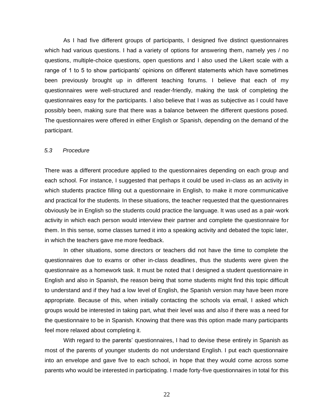As I had five different groups of participants, I designed five distinct questionnaires which had various questions. I had a variety of options for answering them, namely yes / no questions, multiple-choice questions, open questions and I also used the Likert scale with a range of 1 to 5 to show participants' opinions on different statements which have sometimes been previously brought up in different teaching forums. I believe that each of my questionnaires were well-structured and reader-friendly, making the task of completing the questionnaires easy for the participants. I also believe that I was as subjective as I could have possibly been, making sure that there was a balance between the different questions posed. The questionnaires were offered in either English or Spanish, depending on the demand of the participant.

#### *5.3 Procedure*

There was a different procedure applied to the questionnaires depending on each group and each school. For instance, I suggested that perhaps it could be used in-class as an activity in which students practice filling out a questionnaire in English, to make it more communicative and practical for the students. In these situations, the teacher requested that the questionnaires obviously be in English so the students could practice the language. It was used as a pair-work activity in which each person would interview their partner and complete the questionnaire for them. In this sense, some classes turned it into a speaking activity and debated the topic later, in which the teachers gave me more feedback.

In other situations, some directors or teachers did not have the time to complete the questionnaires due to exams or other in-class deadlines, thus the students were given the questionnaire as a homework task. It must be noted that I designed a student questionnaire in English and also in Spanish, the reason being that some students might find this topic difficult to understand and if they had a low level of English, the Spanish version may have been more appropriate. Because of this, when initially contacting the schools via email, I asked which groups would be interested in taking part, what their level was and also if there was a need for the questionnaire to be in Spanish. Knowing that there was this option made many participants feel more relaxed about completing it.

With regard to the parents' questionnaires, I had to devise these entirely in Spanish as most of the parents of younger students do not understand English. I put each questionnaire into an envelope and gave five to each school, in hope that they would come across some parents who would be interested in participating. I made forty-five questionnaires in total for this

22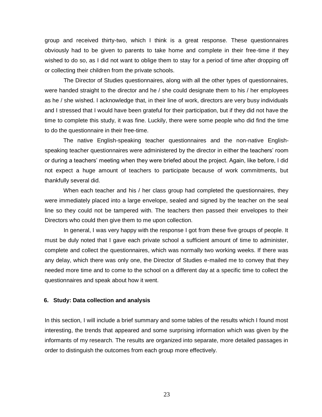group and received thirty-two, which I think is a great response. These questionnaires obviously had to be given to parents to take home and complete in their free-time if they wished to do so, as I did not want to oblige them to stay for a period of time after dropping off or collecting their children from the private schools.

The Director of Studies questionnaires, along with all the other types of questionnaires, were handed straight to the director and he / she could designate them to his / her employees as he / she wished. I acknowledge that, in their line of work, directors are very busy individuals and I stressed that I would have been grateful for their participation, but if they did not have the time to complete this study, it was fine. Luckily, there were some people who did find the time to do the questionnaire in their free-time.

The native English-speaking teacher questionnaires and the non-native Englishspeaking teacher questionnaires were administered by the director in either the teachers' room or during a teachers' meeting when they were briefed about the project. Again, like before, I did not expect a huge amount of teachers to participate because of work commitments, but thankfully several did.

When each teacher and his / her class group had completed the questionnaires, they were immediately placed into a large envelope, sealed and signed by the teacher on the seal line so they could not be tampered with. The teachers then passed their envelopes to their Directors who could then give them to me upon collection.

In general, I was very happy with the response I got from these five groups of people. It must be duly noted that I gave each private school a sufficient amount of time to administer, complete and collect the questionnaires, which was normally two working weeks. If there was any delay, which there was only one, the Director of Studies e-mailed me to convey that they needed more time and to come to the school on a different day at a specific time to collect the questionnaires and speak about how it went.

#### **6. Study: Data collection and analysis**

In this section, I will include a brief summary and some tables of the results which I found most interesting, the trends that appeared and some surprising information which was given by the informants of my research. The results are organized into separate, more detailed passages in order to distinguish the outcomes from each group more effectively.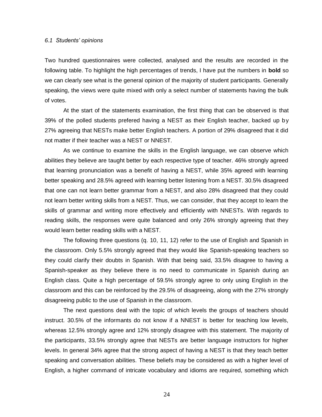#### *6.1 Students' opinions*

Two hundred questionnaires were collected, analysed and the results are recorded in the following table. To highlight the high percentages of trends, I have put the numbers in **bold** so we can clearly see what is the general opinion of the majority of student participants. Generally speaking, the views were quite mixed with only a select number of statements having the bulk of votes.

At the start of the statements examination, the first thing that can be observed is that 39% of the polled students prefered having a NEST as their English teacher, backed up by 27% agreeing that NESTs make better English teachers. A portion of 29% disagreed that it did not matter if their teacher was a NEST or NNEST.

As we continue to examine the skills in the English language, we can observe which abilities they believe are taught better by each respective type of teacher. 46% strongly agreed that learning pronunciation was a benefit of having a NEST, while 35% agreed with learning better speaking and 28.5% agreed with learning better listening from a NEST. 30.5% disagreed that one can not learn better grammar from a NEST, and also 28% disagreed that they could not learn better writing skills from a NEST. Thus, we can consider, that they accept to learn the skills of grammar and writing more effectively and efficiently with NNESTs. With regards to reading skills, the responses were quite balanced and only 26% strongly agreeing that they would learn better reading skills with a NEST.

The following three questions (q. 10, 11, 12) refer to the use of English and Spanish in the classroom. Only 5.5% strongly agreed that they would like Spanish-speaking teachers so they could clarify their doubts in Spanish. With that being said, 33.5% disagree to having a Spanish-speaker as they believe there is no need to communicate in Spanish during an English class. Quite a high percentage of 59.5% strongly agree to only using English in the classroom and this can be reinforced by the 29.5% of disagreeing, along with the 27% strongly disagreeing public to the use of Spanish in the classroom.

The next questions deal with the topic of which levels the groups of teachers should instruct. 30.5% of the informants do not know if a NNEST is better for teaching low levels, whereas 12.5% strongly agree and 12% strongly disagree with this statement. The majority of the participants, 33.5% strongly agree that NESTs are better language instructors for higher levels. In general 34% agree that the strong aspect of having a NEST is that they teach better speaking and conversation abilities. These beliefs may be considered as with a higher level of English, a higher command of intricate vocabulary and idioms are required, something which

24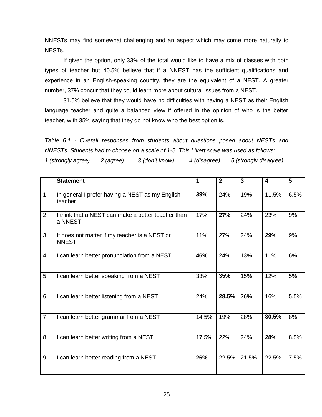NNESTs may find somewhat challenging and an aspect which may come more naturally to NESTs.

If given the option, only 33% of the total would like to have a mix of classes with both types of teacher but 40.5% believe that if a NNEST has the sufficient qualifications and experience in an English-speaking country, they are the equivalent of a NEST. A greater number, 37% concur that they could learn more about cultural issues from a NEST.

31.5% believe that they would have no difficulties with having a NEST as their English language teacher and quite a balanced view if offered in the opinion of who is the better teacher, with 35% saying that they do not know who the best option is.

*Table 6.1 - Overall responses from students about questions posed about NESTs and NNESTs. Students had to choose on a scale of 1-5. This Likert scale was used as follows:*

*1 (strongly agree) 2 (agree) 3 (don't know) 4 (disagree) 5 (strongly disagree)*

|                | <b>Statement</b>                                              | 1     | $\overline{2}$ | $\overline{\mathbf{3}}$ | 4     | 5    |
|----------------|---------------------------------------------------------------|-------|----------------|-------------------------|-------|------|
| $\mathbf{1}$   | In general I prefer having a NEST as my English<br>teacher    | 39%   | 24%            | 19%                     | 11.5% | 6.5% |
| 2              | I think that a NEST can make a better teacher than<br>a NNEST | 17%   | 27%            | 24%                     | 23%   | 9%   |
| 3              | It does not matter if my teacher is a NEST or<br><b>NNEST</b> | 11%   | 27%            | 24%                     | 29%   | 9%   |
| $\overline{4}$ | I can learn better pronunciation from a NEST                  | 46%   | 24%            | 13%                     | 11%   | 6%   |
| 5              | I can learn better speaking from a NEST                       | 33%   | 35%            | 15%                     | 12%   | 5%   |
| $6\phantom{1}$ | I can learn better listening from a NEST                      | 24%   | 28.5%          | 26%                     | 16%   | 5.5% |
| $\overline{7}$ | I can learn better grammar from a NEST                        | 14.5% | 19%            | 28%                     | 30.5% | 8%   |
| 8              | I can learn better writing from a NEST                        | 17.5% | 22%            | 24%                     | 28%   | 8.5% |
| 9              | I can learn better reading from a NEST                        | 26%   | 22.5%          | 21.5%                   | 22.5% | 7.5% |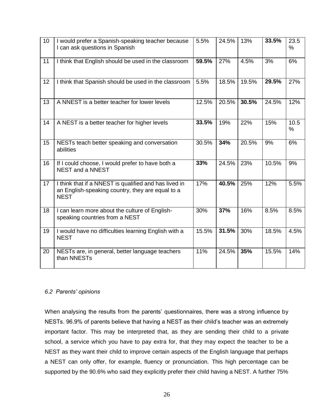| $\overline{10}$ | I would prefer a Spanish-speaking teacher because<br>I can ask questions in Spanish                                      | 5.5%  | 24.5% | 13%   | 33.5% | 23.5<br>$\%$ |
|-----------------|--------------------------------------------------------------------------------------------------------------------------|-------|-------|-------|-------|--------------|
| 11              | I think that English should be used in the classroom                                                                     | 59.5% | 27%   | 4.5%  | 3%    | 6%           |
| 12              | I think that Spanish should be used in the classroom                                                                     | 5.5%  | 18.5% | 19.5% | 29.5% | 27%          |
| 13              | A NNEST is a better teacher for lower levels                                                                             | 12.5% | 20.5% | 30.5% | 24.5% | 12%          |
| 14              | A NEST is a better teacher for higher levels                                                                             | 33.5% | 19%   | 22%   | 15%   | 10.5<br>$\%$ |
| 15              | NESTs teach better speaking and conversation<br>abilities                                                                | 30.5% | 34%   | 20.5% | 9%    | 6%           |
| 16              | If I could choose, I would prefer to have both a<br>NEST and a NNEST                                                     | 33%   | 24.5% | 23%   | 10.5% | 9%           |
| 17              | I think that if a NNEST is qualified and has lived in<br>an English-speaking country, they are equal to a<br><b>NEST</b> | 17%   | 40.5% | 25%   | 12%   | 5.5%         |
| 18              | I can learn more about the culture of English-<br>speaking countries from a NEST                                         | 30%   | 37%   | 16%   | 8.5%  | 8.5%         |
| 19              | I would have no difficulties learning English with a<br><b>NEST</b>                                                      | 15.5% | 31.5% | 30%   | 18.5% | 4.5%         |
| 20              | NESTs are, in general, better language teachers<br>than NNESTs                                                           | 11%   | 24.5% | 35%   | 15.5% | 14%          |

#### *6.2 Parents' opinions*

When analysing the results from the parents' questionnaires, there was a strong influence by NESTs. 96.9% of parents believe that having a NEST as their child's teacher was an extremely important factor. This may be interpreted that, as they are sending their child to a private school, a service which you have to pay extra for, that they may expect the teacher to be a NEST as they want their child to improve certain aspects of the English language that perhaps a NEST can only offer, for example, fluency or pronunciation. This high percentage can be supported by the 90.6% who said they explicitly prefer their child having a NEST. A further 75%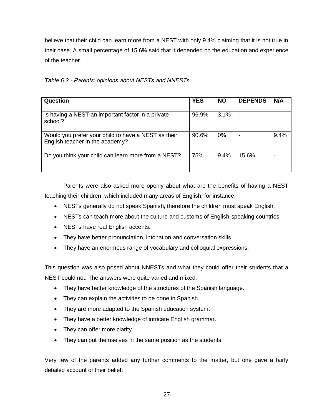believe that their child can learn more from a NEST with only 9.4% claiming that it is not true in their case. A small percentage of 15.6% said that it depended on the education and experience of the teacher.

|  |  | Table 6.2 - Parents' opinions about NESTs and NNESTs |
|--|--|------------------------------------------------------|
|  |  |                                                      |

| Question                                                                               | <b>YES</b> | <b>NO</b> | <b>DEPENDS</b> | N/A  |
|----------------------------------------------------------------------------------------|------------|-----------|----------------|------|
| Is having a NEST an important factor in a private<br>school?                           | 96.9%      | 3.1%      |                |      |
| Would you prefer your child to have a NEST as their<br>English teacher in the academy? | 90.6%      | $0\%$     |                | 9.4% |
| Do you think your child can learn more from a NEST?                                    | 75%        | 9.4%      | 15.6%          |      |

Parents were also asked more openly about what are the benefits of having a NEST teaching their children, which included many areas of English, for instance:

- NESTs generally do not speak Spanish, therefore the children must speak English.
- NESTs can teach more about the culture and customs of English-speaking countries.
- NESTs have real English accents.
- They have better pronunciation, intonation and conversation skills.
- They have an enormous range of vocabulary and colloquial expressions.

This question was also posed about NNESTs and what they could offer their students that a NEST could not. The answers were quite varied and mixed:

- They have better knowledge of the structures of the Spanish language.
- They can explain the activities to be done in Spanish.
- They are more adapted to the Spanish education system.
- They have a better knowledge of intricate English grammar.
- They can offer more clarity.
- They can put themselves in the same position as the students.

Very few of the parents added any further comments to the matter, but one gave a fairly detailed account of their belief: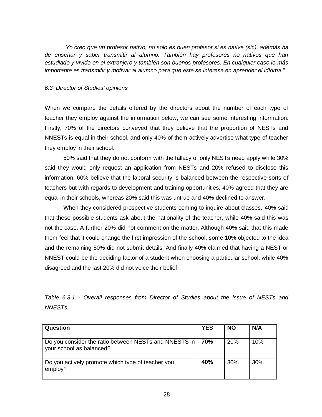"*Yo creo que un profesor nativo, no solo es buen profesor si es native (sic), además ha de enseñar y saber transmitir al alumno. También hay profesores no nativos que han estudiado y vivido en el extranjero y también son buenos profesores. En cualquier caso lo más importante es transmitir y motivar al alumno para que este se interese en aprender el idioma."*

#### *6.3 Director of Studies' opinions*

When we compare the details offered by the directors about the number of each type of teacher they employ against the information below, we can see some interesting information. Firstly, 70% of the directors conveyed that they believe that the proportion of NESTs and NNESTs is equal in their school, and only 40% of them actively advertise what type of teacher they employ in their school.

50% said that they do not conform with the fallacy of only NESTs need apply while 30% said they would only request an application from NESTs and 20% refused to disclose this information. 60% believe that the laboral security is balanced between the respective sorts of teachers but with regards to development and training opportunities, 40% agreed that they are equal in their schools, whereas 20% said this was untrue and 40% declined to answer.

When they considered prospective students coming to inquire about classes, 40% said that these possible students ask about the nationality of the teacher, while 40% said this was not the case. A further 20% did not comment on the matter. Although 40% said that this made them feel that it could change the first impression of the school, some 10% objected to the idea and the remaining 50% did not submit details. And finally 40% claimed that having a NEST or NNEST could be the deciding factor of a student when choosing a particular school, while 40% disagreed and the last 20% did not voice their belief.

*Table 6.3.1 - Overall responses from Director of Studies about the issue of NESTs and NNESTs.*

| Question                                                                          | <b>YES</b> | <b>NO</b> | N/A |
|-----------------------------------------------------------------------------------|------------|-----------|-----|
|                                                                                   |            |           |     |
| Do you consider the ratio between NESTs and NNESTS in<br>your school as balanced? | 70%        | 20%       | 10% |
| Do you actively promote which type of teacher you<br>employ?                      | 40%        | 30%       | 30% |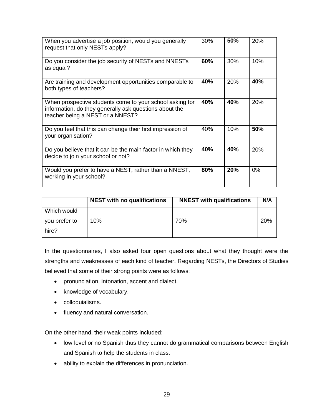| When you advertise a job position, would you generally<br>request that only NESTs apply?                                                               | 30% | 50% | 20%   |
|--------------------------------------------------------------------------------------------------------------------------------------------------------|-----|-----|-------|
| Do you consider the job security of NESTs and NNESTs<br>as equal?                                                                                      | 60% | 30% | 10%   |
| Are training and development opportunities comparable to<br>both types of teachers?                                                                    | 40% | 20% | 40%   |
| When prospective students come to your school asking for<br>information, do they generally ask questions about the<br>teacher being a NEST or a NNEST? | 40% | 40% | 20%   |
| Do you feel that this can change their first impression of<br>your organisation?                                                                       | 40% | 10% | 50%   |
| Do you believe that it can be the main factor in which they<br>decide to join your school or not?                                                      | 40% | 40% | 20%   |
| Would you prefer to have a NEST, rather than a NNEST,<br>working in your school?                                                                       | 80% | 20% | $0\%$ |

|               | <b>NEST</b> with no qualifications | <b>NNEST with qualifications</b> | N/A |
|---------------|------------------------------------|----------------------------------|-----|
| Which would   |                                    |                                  |     |
| you prefer to | 10%                                | 70%                              | 20% |
| hire?         |                                    |                                  |     |

In the questionnaires, I also asked four open questions about what they thought were the strengths and weaknesses of each kind of teacher. Regarding NESTs, the Directors of Studies believed that some of their strong points were as follows:

- pronunciation, intonation, accent and dialect.
- knowledge of vocabulary.
- colloquialisms.
- fluency and natural conversation.

On the other hand, their weak points included:

- low level or no Spanish thus they cannot do grammatical comparisons between English and Spanish to help the students in class.
- ability to explain the differences in pronunciation.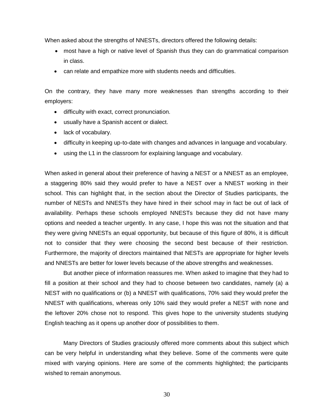When asked about the strengths of NNESTs, directors offered the following details:

- most have a high or native level of Spanish thus they can do grammatical comparison in class.
- can relate and empathize more with students needs and difficulties.

On the contrary, they have many more weaknesses than strengths according to their employers:

- difficulty with exact, correct pronunciation.
- usually have a Spanish accent or dialect.
- lack of vocabulary.
- difficulty in keeping up-to-date with changes and advances in language and vocabulary.
- using the L1 in the classroom for explaining language and vocabulary.

When asked in general about their preference of having a NEST or a NNEST as an employee, a staggering 80% said they would prefer to have a NEST over a NNEST working in their school. This can highlight that, in the section about the Director of Studies participants, the number of NESTs and NNESTs they have hired in their school may in fact be out of lack of availability. Perhaps these schools employed NNESTs because they did not have many options and needed a teacher urgently. In any case, I hope this was not the situation and that they were giving NNESTs an equal opportunity, but because of this figure of 80%, it is difficult not to consider that they were choosing the second best because of their restriction. Furthermore, the majority of directors maintained that NESTs are appropriate for higher levels and NNESTs are better for lower levels because of the above strengths and weaknesses.

But another piece of information reassures me. When asked to imagine that they had to fill a position at their school and they had to choose between two candidates, namely (a) a NEST with no qualifications or (b) a NNEST with qualifications, 70% said they would prefer the NNEST with qualifications, whereas only 10% said they would prefer a NEST with none and the leftover 20% chose not to respond. This gives hope to the university students studying English teaching as it opens up another door of possibilities to them.

Many Directors of Studies graciously offered more comments about this subject which can be very helpful in understanding what they believe. Some of the comments were quite mixed with varying opinions. Here are some of the comments highlighted; the participants wished to remain anonymous.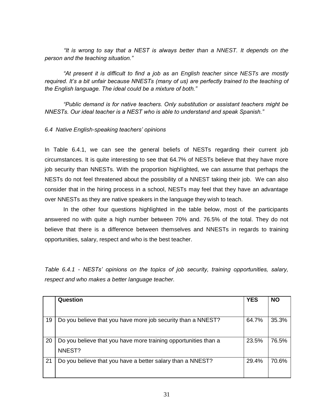*"It is wrong to say that a NEST is always better than a NNEST. It depends on the person and the teaching situation."*

*"At present it is difficult to find a job as an English teacher since NESTs are mostly required. It's a bit unfair because NNESTs (many of us) are perfectly trained to the teaching of the English language. The ideal could be a mixture of both."*

*"Public demand is for native teachers. Only substitution or assistant teachers might be NNESTs. Our ideal teacher is a NEST who is able to understand and speak Spanish."*

#### *6.4 Native English-speaking teachers' opinions*

In Table 6.4.1, we can see the general beliefs of NESTs regarding their current job circumstances. It is quite interesting to see that 64.7% of NESTs believe that they have more job security than NNESTs. With the proportion highlighted, we can assume that perhaps the NESTs do not feel threatened about the possibility of a NNEST taking their job. We can also consider that in the hiring process in a school, NESTs may feel that they have an advantage over NNESTs as they are native speakers in the language they wish to teach.

In the other four questions highlighted in the table below, most of the participants answered no with quite a high number between 70% and. 76.5% of the total. They do not believe that there is a difference between themselves and NNESTs in regards to training opportunities, salary, respect and who is the best teacher.

*Table 6.4.1 - NESTs' opinions on the topics of job security, training opportunities, salary, respect and who makes a better language teacher.*

|    | Question                                                        | <b>YES</b> | <b>NO</b> |
|----|-----------------------------------------------------------------|------------|-----------|
|    |                                                                 |            |           |
| 19 | Do you believe that you have more job security than a NNEST?    | 64.7%      | 35.3%     |
|    |                                                                 |            |           |
| 20 | Do you believe that you have more training opportunities than a | 23.5%      | 76.5%     |
|    | NNEST?                                                          |            |           |
| 21 | Do you believe that you have a better salary than a NNEST?      | 29.4%      | 70.6%     |
|    |                                                                 |            |           |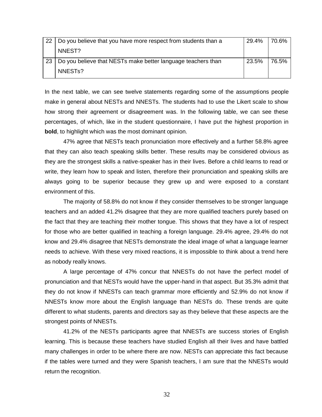| 22 | Do you believe that you have more respect from students than a | 29.4% | 70.6% |
|----|----------------------------------------------------------------|-------|-------|
|    | NNEST?                                                         |       |       |
| 23 | Do you believe that NESTs make better language teachers than   | 23.5% | 76.5% |
|    | NNEST <sub>s</sub> ?                                           |       |       |

In the next table, we can see twelve statements regarding some of the assumptions people make in general about NESTs and NNESTs. The students had to use the Likert scale to show how strong their agreement or disagreement was. In the following table, we can see these percentages, of which, like in the student questionnaire, I have put the highest proportion in **bold**, to highlight which was the most dominant opinion.

47% agree that NESTs teach pronunciation more effectively and a further 58.8% agree that they can also teach speaking skills better. These results may be considered obvious as they are the strongest skills a native-speaker has in their lives. Before a child learns to read or write, they learn how to speak and listen, therefore their pronunciation and speaking skills are always going to be superior because they grew up and were exposed to a constant environment of this.

The majority of 58.8% do not know if they consider themselves to be stronger language teachers and an added 41.2% disagree that they are more qualified teachers purely based on the fact that they are teaching their mother tongue. This shows that they have a lot of respect for those who are better qualified in teaching a foreign language. 29.4% agree, 29.4% do not know and 29.4% disagree that NESTs demonstrate the ideal image of what a language learner needs to achieve. With these very mixed reactions, it is impossible to think about a trend here as nobody really knows.

A large percentage of 47% concur that NNESTs do not have the perfect model of pronunciation and that NESTs would have the upper-hand in that aspect. But 35.3% admit that they do not know if NNESTs can teach grammar more efficiently and 52.9% do not know if NNESTs know more about the English language than NESTs do. These trends are quite different to what students, parents and directors say as they believe that these aspects are the strongest points of NNESTs.

41.2% of the NESTs participants agree that NNESTs are success stories of English learning. This is because these teachers have studied English all their lives and have battled many challenges in order to be where there are now. NESTs can appreciate this fact because if the tables were turned and they were Spanish teachers, I am sure that the NNESTs would return the recognition.

32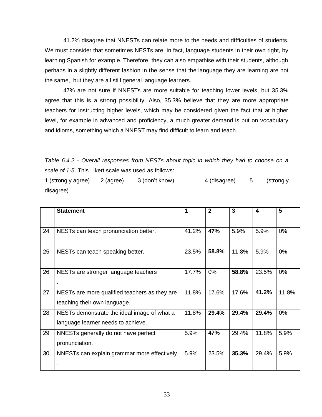41.2% disagree that NNESTs can relate more to the needs and difficulties of students. We must consider that sometimes NESTs are, in fact, language students in their own right, by learning Spanish for example. Therefore, they can also empathise with their students, although perhaps in a slightly different fashion in the sense that the language they are learning are not the same, but they are all still general language learners.

47% are not sure if NNESTs are more suitable for teaching lower levels, but 35.3% agree that this is a strong possibility. Also, 35.3% believe that they are more appropriate teachers for instructing higher levels, which may be considered given the fact that at higher level, for example in advanced and proficiency, a much greater demand is put on vocabulary and idioms, something which a NNEST may find difficult to learn and teach.

*Table 6.4.2 - Overall responses from NESTs about topic in which they had to choose on a scale of 1-5.* This Likert scale was used as follows:

1 (strongly agree) 2 (agree) 3 (don't know) 4 (disagree) 5 (strongly disagree)

|    | <b>Statement</b>                              | 1     | $\mathbf{2}$ | 3     | 4     | 5     |
|----|-----------------------------------------------|-------|--------------|-------|-------|-------|
|    |                                               |       |              |       |       |       |
| 24 | NESTs can teach pronunciation better.         |       | 47%          | 5.9%  | 5.9%  | $0\%$ |
|    |                                               |       |              |       |       |       |
| 25 | NESTs can teach speaking better.              | 23.5% | 58.8%        | 11.8% | 5.9%  | 0%    |
|    |                                               |       |              |       |       |       |
| 26 | NESTs are stronger language teachers          | 17.7% | 0%           | 58.8% | 23.5% | 0%    |
|    |                                               |       |              |       |       |       |
| 27 | NESTs are more qualified teachers as they are | 11.8% | 17.6%        | 17.6% | 41.2% | 11.8% |
|    | teaching their own language.                  |       |              |       |       |       |
| 28 | NESTs demonstrate the ideal image of what a   | 11.8% | 29.4%        | 29.4% | 29.4% | 0%    |
|    | language learner needs to achieve.            |       |              |       |       |       |
| 29 | NNESTs generally do not have perfect          | 5.9%  | 47%          | 29.4% | 11.8% | 5.9%  |
|    | pronunciation.                                |       |              |       |       |       |
| 30 | NNESTs can explain grammar more effectively   | 5.9%  | 23.5%        | 35.3% | 29.4% | 5.9%  |
|    |                                               |       |              |       |       |       |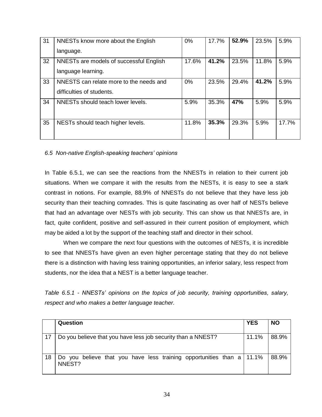| 31 | NNESTs know more about the English      | 0%    | 17.7% | 52.9% | 23.5% | 5.9%  |
|----|-----------------------------------------|-------|-------|-------|-------|-------|
|    | language.                               |       |       |       |       |       |
| 32 | NNESTs are models of successful English | 17.6% | 41.2% | 23.5% | 11.8% | 5.9%  |
|    | language learning.                      |       |       |       |       |       |
| 33 | NNESTS can relate more to the needs and | 0%    | 23.5% | 29.4% | 41.2% | 5.9%  |
|    | difficulties of students.               |       |       |       |       |       |
| 34 | NNESTs should teach lower levels.       | 5.9%  | 35.3% | 47%   | 5.9%  | 5.9%  |
|    |                                         |       |       |       |       |       |
| 35 | NESTs should teach higher levels.       | 11.8% | 35.3% | 29.3% | 5.9%  | 17.7% |
|    |                                         |       |       |       |       |       |

#### *6.5 Non-native English-speaking teachers' opinions*

In Table 6.5.1, we can see the reactions from the NNESTs in relation to their current job situations. When we compare it with the results from the NESTs, it is easy to see a stark contrast in notions. For example, 88.9% of NNESTs do not believe that they have less job security than their teaching comrades. This is quite fascinating as over half of NESTs believe that had an advantage over NESTs with job security. This can show us that NNESTs are, in fact, quite confident, positive and self-assured in their current position of employment, which may be aided a lot by the support of the teaching staff and director in their school.

When we compare the next four questions with the outcomes of NESTs, it is incredible to see that NNESTs have given an even higher percentage stating that they do not believe there is a distinction with having less training opportunities, an inferior salary, less respect from students, nor the idea that a NEST is a better language teacher.

*Table 6.5.1 - NNESTs' opinions on the topics of job security, training opportunities, salary, respect and who makes a better language teacher.*

|    | Question                                                                          | <b>YES</b> | <b>NO</b> |
|----|-----------------------------------------------------------------------------------|------------|-----------|
| 17 | Do you believe that you have less job security than a NNEST?                      | 11.1%      | 88.9%     |
| 18 | Do you believe that you have less training opportunities than a   11.1%<br>NNEST? |            | 88.9%     |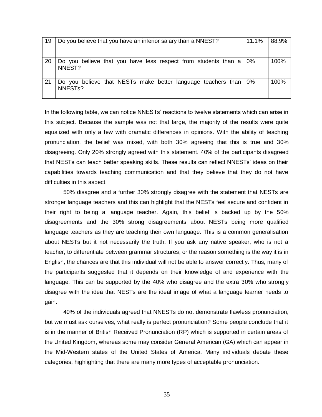| 19 | Do you believe that you have an inferior salary than a NNEST?                           | 11.1%      | 88.9% |
|----|-----------------------------------------------------------------------------------------|------------|-------|
| 20 | Do you believe that you have less respect from students than a<br>NNEST?                | $\mid 0\%$ | 100%  |
| 21 | Do you believe that NESTs make better language teachers than 0%<br>NNEST <sub>s</sub> ? |            | 100%  |

In the following table, we can notice NNESTs' reactions to twelve statements which can arise in this subject. Because the sample was not that large, the majority of the results were quite equalized with only a few with dramatic differences in opinions. With the ability of teaching pronunciation, the belief was mixed, with both 30% agreeing that this is true and 30% disagreeing. Only 20% strongly agreed with this statement. 40% of the participants disagreed that NESTs can teach better speaking skills. These results can reflect NNESTs' ideas on their capabilities towards teaching communication and that they believe that they do not have difficulties in this aspect.

50% disagree and a further 30% strongly disagree with the statement that NESTs are stronger language teachers and this can highlight that the NESTs feel secure and confident in their right to being a language teacher. Again, this belief is backed up by the 50% disagreements and the 30% strong disagreements about NESTs being more qualified language teachers as they are teaching their own language. This is a common generalisation about NESTs but it not necessarily the truth. If you ask any native speaker, who is not a teacher, to differentiate between grammar structures, or the reason something is the way it is in English, the chances are that this individual will not be able to answer correctly. Thus, many of the participants suggested that it depends on their knowledge of and experience with the language. This can be supported by the 40% who disagree and the extra 30% who strongly disagree with the idea that NESTs are the ideal image of what a language learner needs to gain.

40% of the individuals agreed that NNESTs do not demonstrate flawless pronunciation, but we must ask ourselves, what really is perfect pronunciation? Some people conclude that it is in the manner of British Received Pronunciation (RP) which is supported in certain areas of the United Kingdom, whereas some may consider General American (GA) which can appear in the Mid-Western states of the United States of America. Many individuals debate these categories, highlighting that there are many more types of acceptable pronunciation.

35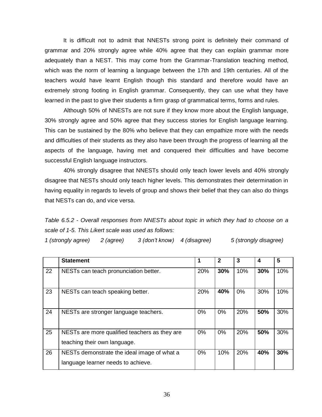It is difficult not to admit that NNESTs strong point is definitely their command of grammar and 20% strongly agree while 40% agree that they can explain grammar more adequately than a NEST. This may come from the Grammar-Translation teaching method, which was the norm of learning a language between the 17th and 19th centuries. All of the teachers would have learnt English though this standard and therefore would have an extremely strong footing in English grammar. Consequently, they can use what they have learned in the past to give their students a firm grasp of grammatical terms, forms and rules.

Although 50% of NNESTs are not sure if they know more about the English language, 30% strongly agree and 50% agree that they success stories for English language learning. This can be sustained by the 80% who believe that they can empathize more with the needs and difficulties of their students as they also have been through the progress of learning all the aspects of the language, having met and conquered their difficulties and have become successful English language instructors.

40% strongly disagree that NNESTs should only teach lower levels and 40% strongly disagree that NESTs should only teach higher levels. This demonstrates their determination in having equality in regards to levels of group and shows their belief that they can also do things that NESTs can do, and vice versa.

*Table 6.5.2 - Overall responses from NNESTs about topic in which they had to choose on a scale of 1-5. This Likert scale was used as follows:*

| 1 (strongly agree) | 2 (agree) | 3 (don't know) 4 (disagree) |  | 5 (strongly disagree) |
|--------------------|-----------|-----------------------------|--|-----------------------|
|--------------------|-----------|-----------------------------|--|-----------------------|

|    | <b>Statement</b>                                                                  | 1     | $\mathbf{2}$ | 3          | 4   | 5   |
|----|-----------------------------------------------------------------------------------|-------|--------------|------------|-----|-----|
| 22 | NESTs can teach pronunciation better.                                             | 20%   | 30%          | 10%        | 30% | 10% |
| 23 | NESTs can teach speaking better.                                                  | 20%   | 40%          | 0%         | 30% | 10% |
| 24 | NESTs are stronger language teachers.                                             | $0\%$ | $0\%$        | <b>20%</b> | 50% | 30% |
| 25 | NESTs are more qualified teachers as they are<br>teaching their own language.     | 0%    | $0\%$        | <b>20%</b> | 50% | 30% |
| 26 | NESTs demonstrate the ideal image of what a<br>language learner needs to achieve. | 0%    | 10%          | 20%        | 40% | 30% |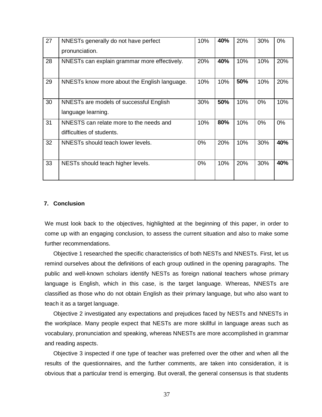| 27 | NNESTs generally do not have perfect<br>pronunciation.               | 10%   | 40% | 20% | 30%   | 0%    |
|----|----------------------------------------------------------------------|-------|-----|-----|-------|-------|
| 28 | NNESTs can explain grammar more effectively.                         | 20%   | 40% | 10% | 10%   | 20%   |
| 29 | NNESTs know more about the English language.                         | 10%   | 10% | 50% | 10%   | 20%   |
| 30 | NNESTs are models of successful English<br>language learning.        | 30%   | 50% | 10% | $0\%$ | 10%   |
| 31 | NNESTS can relate more to the needs and<br>difficulties of students. | 10%   | 80% | 10% | $0\%$ | $0\%$ |
| 32 | NNESTs should teach lower levels.                                    | $0\%$ | 20% | 10% | 30%   | 40%   |
| 33 | NESTs should teach higher levels.                                    | $0\%$ | 10% | 20% | 30%   | 40%   |

#### **7. Conclusion**

We must look back to the objectives, highlighted at the beginning of this paper, in order to come up with an engaging conclusion, to assess the current situation and also to make some further recommendations.

Objective 1 researched the specific characteristics of both NESTs and NNESTs. First, let us remind ourselves about the definitions of each group outlined in the opening paragraphs. The public and well-known scholars identify NESTs as foreign national teachers whose primary language is English, which in this case, is the target language. Whereas, NNESTs are classified as those who do not obtain English as their primary language, but who also want to teach it as a target language.

Objective 2 investigated any expectations and prejudices faced by NESTs and NNESTs in the workplace. Many people expect that NESTs are more skillful in language areas such as vocabulary, pronunciation and speaking, whereas NNESTs are more accomplished in grammar and reading aspects.

Objective 3 inspected if one type of teacher was preferred over the other and when all the results of the questionnaires, and the further comments, are taken into consideration, it is obvious that a particular trend is emerging. But overall, the general consensus is that students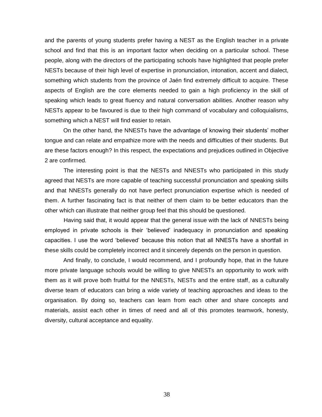and the parents of young students prefer having a NEST as the English teacher in a private school and find that this is an important factor when deciding on a particular school. These people, along with the directors of the participating schools have highlighted that people prefer NESTs because of their high level of expertise in pronunciation, intonation, accent and dialect, something which students from the province of Jaén find extremely difficult to acquire. These aspects of English are the core elements needed to gain a high proficiency in the skill of speaking which leads to great fluency and natural conversation abilities. Another reason why NESTs appear to be favoured is due to their high command of vocabulary and colloquialisms, something which a NEST will find easier to retain.

On the other hand, the NNESTs have the advantage of knowing their students' mother tongue and can relate and empathize more with the needs and difficulties of their students. But are these factors enough? In this respect, the expectations and prejudices outlined in Objective 2 are confirmed.

The interesting point is that the NESTs and NNESTs who participated in this study agreed that NESTs are more capable of teaching successful pronunciation and speaking skills and that NNESTs generally do not have perfect pronunciation expertise which is needed of them. A further fascinating fact is that neither of them claim to be better educators than the other which can illustrate that neither group feel that this should be questioned.

Having said that, it would appear that the general issue with the lack of NNESTs being employed in private schools is their 'believed' inadequacy in pronunciation and speaking capacities. I use the word 'believed' because this notion that all NNESTs have a shortfall in these skills could be completely incorrect and it sincerely depends on the person in question.

And finally, to conclude, I would recommend, and I profoundly hope, that in the future more private language schools would be willing to give NNESTs an opportunity to work with them as it will prove both fruitful for the NNESTs, NESTs and the entire staff, as a culturally diverse team of educators can bring a wide variety of teaching approaches and ideas to the organisation. By doing so, teachers can learn from each other and share concepts and materials, assist each other in times of need and all of this promotes teamwork, honesty, diversity, cultural acceptance and equality.

38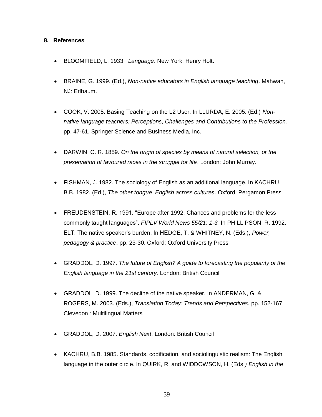#### **8. References**

- BLOOMFIELD, L. 1933. *Language*. New York: Henry Holt.
- BRAINE, G. 1999. (Ed.), *Non-native educators in English language teaching*. Mahwah, NJ: Erlbaum.
- COOK, V. 2005. Basing Teaching on the L2 User. In LLURDA, E. 2005. (Ed.) *Nonnative language teachers: Perceptions, Challenges and Contributions to the Profession*. pp. 47-61. Springer Science and Business Media, Inc.
- DARWIN, C. R. 1859. *On the origin of species by means of natural selection, or the preservation of favoured races in the struggle for life*. London: John Murray.
- FISHMAN, J. 1982. The sociology of English as an additional language. In KACHRU, B.B. 1982. (Ed.), *The other tongue: English across cultures*. Oxford: Pergamon Press
- FREUDENSTEIN, R. 1991. "Europe after 1992. Chances and problems for the less commonly taught languages". *FIPLV World News 55/21: 1-3.* In PHILLIPSON, R. 1992. ELT: The native speaker's burden. In HEDGE, T. & WHITNEY, N. (Eds.), *Power, pedagogy & practice*. pp. 23-30. Oxford: Oxford University Press
- GRADDOL, D. 1997. *The future of English? A guide to forecasting the popularity of the English language in the 21st century.* London: British Council
- GRADDOL, D. 1999. The decline of the native speaker. In ANDERMAN, G. & ROGERS, M. 2003. (Eds.), *Translation Today: Trends and Perspectives.* pp. 152-167 Clevedon : Multilingual Matters
- GRADDOL, D. 2007. *English Next*. London: British Council
- KACHRU, B.B. 1985. Standards, codification, and sociolinguistic realism: The English language in the outer circle. In QUIRK, R. and WIDDOWSON, H, (Eds*.) English in the*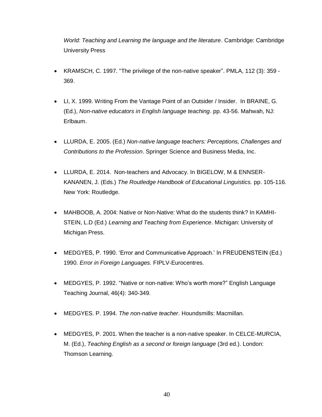*World: Teaching and Learning the language and the literature*. Cambridge: Cambridge University Press

- KRAMSCH, C. 1997. "The privilege of the non-native speaker". PMLA, 112 (3): 359 369.
- LI, X. 1999. Writing From the Vantage Point of an Outsider / Insider. In BRAINE, G. (Ed.), *Non-native educators in English language teaching*. pp. 43-56. Mahwah, NJ: Erlbaum.
- LLURDA, E. 2005. (Ed.) *Non-native language teachers: Perceptions, Challenges and Contributions to the Profession*. Springer Science and Business Media, Inc.
- LLURDA, E. 2014. Non-teachers and Advocacy. In BIGELOW, M & ENNSER-KANANEN, J. (Eds.) *The Routledge Handbook of Educational Linguistics.* pp. 105-116. New York: Routledge.
- MAHBOOB, A. 2004: Native or Non-Native: What do the students think? In KAMHI-STEIN, L.D (Ed.) *Learning and Teaching from Experience*. Michigan: University of Michigan Press.
- MEDGYES, P. 1990. 'Error and Communicative Approach.' In FREUDENSTEIN (Ed.) 1990. *Error in Foreign Languages.* FIPLV-Eurocentres.
- MEDGYES, P. 1992. "Native or non-native: Who's worth more?" English Language Teaching Journal, 46(4): 340-349.
- MEDGYES. P. 1994. *The non-native teacher*. Houndsmills: Macmillan.
- MEDGYES, P. 2001. When the teacher is a non-native speaker. In CELCE-MURCIA, M. (Ed.), *Teaching English as a second or foreign language* (3rd ed.). London: Thomson Learning.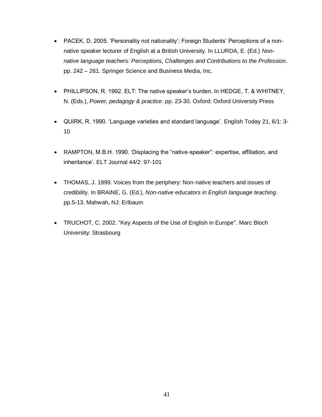- PACEK, D. 2005. 'Personality not nationality': Foreign Students' Perceptions of a nonnative speaker lecturer of English at a British University. In LLURDA, E. (Ed.) *Nonnative language teachers: Perceptions, Challenges and Contributions to the Profession*. pp. 242 – 261. Springer Science and Business Media, Inc.
- PHILLIPSON, R. 1992. ELT: The native speaker's burden. In HEDGE, T. & WHITNEY, N. (Eds.), *Power, pedagogy & practice*. pp. 23-30. Oxford: Oxford University Press
- QUIRK, R. 1990. 'Language varieties and standard language'. English Today 21, 6/1: 3- 10
- RAMPTON, M.B.H. 1990. 'Displacing the "native-speaker": expertise, affiliation, and inheritance'. ELT Journal 44/2: 97-101
- THOMAS, J. 1999. Voices from the periphery: Non-native teachers and issues of credibility. In BRAINE, G. (Ed.), *Non-native educators in English language teaching*. pp.5-13. Mahwah, NJ: Erlbaum
- TRUCHOT, C. 2002. "Key Aspects of the Use of English in Europe". Marc Bloch University: Strasbourg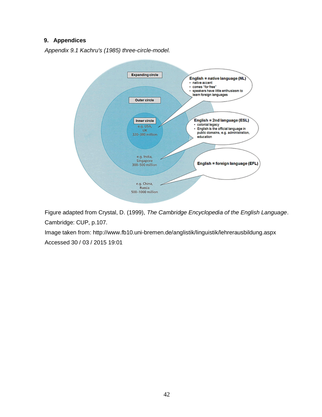#### **9. Appendices**

*Appendix 9.1 Kachru's (1985) three-circle-model.*



Figure adapted from Crystal, D. (1999), *The Cambridge Encyclopedia of the English Language*. Cambridge: CUP, p.107.

Image taken from: http://www.fb10.uni-bremen.de/anglistik/linguistik/lehrerausbildung.aspx Accessed 30 / 03 / 2015 19:01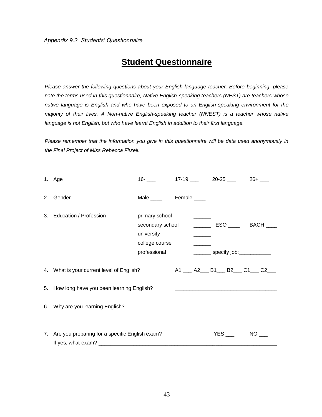### **Student Questionnaire**

*Please answer the following questions about your English language teacher. Before beginning, please note the terms used in this questionnaire, Native English-speaking teachers (NEST) are teachers whose native language is English and who have been exposed to an English-speaking environment for the majority of their lives. A Non-native English-speaking teacher (NNEST) is a teacher whose native language is not English, but who have learnt English in addition to their first language.* 

*Please remember that the information you give in this questionnaire will be data used anonymously in the Final Project of Miss Rebecca Fitzell.* 

| 1. Age                                                                                                                                                               | $16-$                                                          |  |  | $17-19$ $20-25$ $26+$ $-$ |                                                        |  |
|----------------------------------------------------------------------------------------------------------------------------------------------------------------------|----------------------------------------------------------------|--|--|---------------------------|--------------------------------------------------------|--|
| 2. Gender                                                                                                                                                            | Male ______ Female ____                                        |  |  |                           |                                                        |  |
| 3. Education / Profession                                                                                                                                            | primary school<br>university<br>college course<br>professional |  |  |                           | secondary school ______________ ESO _______ BACH _____ |  |
| 4. What is your current level of English?                                                                                                                            |                                                                |  |  |                           | A1 __ A2 __ B1 __ B2 __ C1 __ C2 __                    |  |
| 5. How long have you been learning English?<br><u> 1989 - Johann Barn, mars ann an t-Amhainn an t-Amhainn an t-Amhainn an t-Amhainn an t-Amhainn an t-Amhainn an</u> |                                                                |  |  |                           |                                                        |  |
| 6. Why are you learning English?                                                                                                                                     |                                                                |  |  |                           |                                                        |  |
| 7. Are you preparing for a specific English exam?                                                                                                                    |                                                                |  |  |                           | $NO$ <sub>____</sub>                                   |  |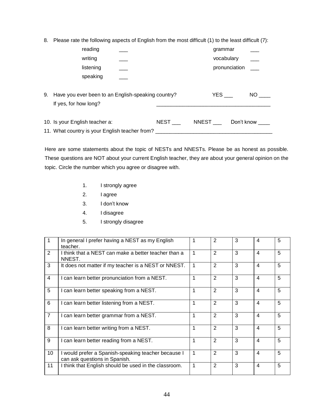8. Please rate the following aspects of English from the most difficult (1) to the least difficult (7):

|    |                                                                             | reading   |  |             | grammar      |               |           |
|----|-----------------------------------------------------------------------------|-----------|--|-------------|--------------|---------------|-----------|
|    |                                                                             | writing   |  |             | vocabulary   |               |           |
|    |                                                                             | listening |  |             |              | pronunciation |           |
|    |                                                                             | speaking  |  |             |              |               |           |
| 9. | Have you ever been to an English-speaking country?<br>If yes, for how long? |           |  |             | <b>YES</b>   |               | <b>NO</b> |
|    | 10. Is your English teacher a:                                              |           |  | <b>NEST</b> | <b>NNEST</b> | Don't know    |           |
|    | 11. What country is your English teacher from?                              |           |  |             |              |               |           |

Here are some statements about the topic of NESTs and NNESTs. Please be as honest as possible. These questions are NOT about your current English teacher, they are about your general opinion on the topic. Circle the number which you agree or disagree with.

- 1. I strongly agree
- 2. I agree
- 3. I don't know
- 4. I disagree
- 5. I strongly disagree

|                | In general I prefer having a NEST as my English                                      |   | 2 | 3 | 4                        | 5 |
|----------------|--------------------------------------------------------------------------------------|---|---|---|--------------------------|---|
| 2              | teacher.<br>I think that a NEST can make a better teacher than a<br>NNEST.           | 1 | 2 | 3 | $\overline{\mathcal{A}}$ | 5 |
| 3              | It does not matter if my teacher is a NEST or NNEST.                                 |   | 2 | 3 | 4                        | 5 |
| $\overline{4}$ | I can learn better pronunciation from a NEST.                                        | 1 | 2 | 3 | 4                        | 5 |
| 5              | I can learn better speaking from a NEST.                                             |   | 2 | 3 | 4                        | 5 |
| 6              | I can learn better listening from a NEST.                                            |   | 2 | 3 | 4                        | 5 |
| $\overline{7}$ | I can learn better grammar from a NEST.                                              |   | 2 | 3 | 4                        | 5 |
| 8              | I can learn better writing from a NEST.                                              |   | 2 | 3 | 4                        | 5 |
| 9              | I can learn better reading from a NEST.                                              | 1 | 2 | 3 | 4                        | 5 |
| 10             | I would prefer a Spanish-speaking teacher because I<br>can ask questions in Spanish. | 1 | 2 | 3 | 4                        | 5 |
| 11             | I think that English should be used in the classroom.                                | 1 | 2 | 3 | 4                        | 5 |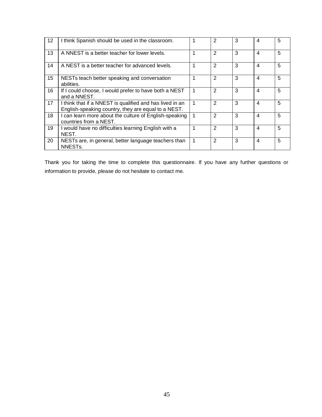| 12 | I think Spanish should be used in the classroom.                                                                | 2            | 3 | 4 | 5 |
|----|-----------------------------------------------------------------------------------------------------------------|--------------|---|---|---|
| 13 | A NNEST is a better teacher for lower levels.                                                                   | 2            | 3 | 4 | 5 |
| 14 | A NEST is a better teacher for advanced levels.                                                                 | 2            | 3 | 4 | 5 |
| 15 | NESTs teach better speaking and conversation<br>abilities.                                                      | 2            | 3 | 4 | 5 |
| 16 | If I could choose, I would prefer to have both a NEST<br>and a NNEST.                                           | $\mathbf{2}$ | 3 | 4 | 5 |
| 17 | I think that if a NNEST is qualified and has lived in an<br>English-speaking country, they are equal to a NEST. | 2            | 3 | 4 | 5 |
| 18 | I can learn more about the culture of English-speaking<br>countries from a NEST.                                | 2            | 3 | 4 | 5 |
| 19 | I would have no difficulties learning English with a<br>NEST.                                                   | 2            | 3 | 4 | 5 |
| 20 | NESTs are, in general, better language teachers than<br>NNEST <sub>s.</sub>                                     | 2            | 3 | 4 | 5 |

Thank you for taking the time to complete this questionnaire. If you have any further questions or information to provide, please do not hesitate to contact me.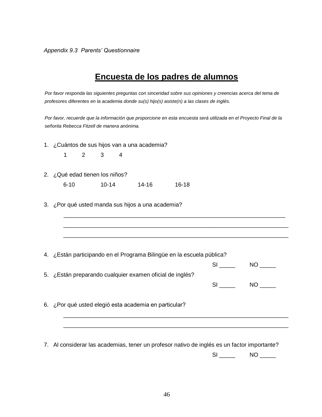*Appendix 9.3 Parents' Questionnaire*

## **Encuesta de los padres de alumnos**

*Por favor responda las siguientes preguntas con sinceridad sobre sus opiniones y creencias acerca del tema de profesores diferentes en la academia donde su(s) hijo(s) asiste(n) a las clases de inglés.*

*Por favor, recuerde que la información que proporcione en esta encuesta será utilizada en el Proyecto Final de la señorita Rebecca Fitzell de manera anónima.*

1. ¿Cuántos de sus hijos van a una academia?

1 2 3 4

2. ¿Qué edad tienen los niños?

6-10 10-14 14-16 16-18

3. ¿Por qué usted manda sus hijos a una academia?

|  |  | 4. ¿Están participando en el Programa Bilingüe en la escuela pública? |  |  |
|--|--|-----------------------------------------------------------------------|--|--|
|  |  |                                                                       |  |  |

|                                                          | NΟ |
|----------------------------------------------------------|----|
| 5. ¿Están preparando cualquier examen oficial de inglés? |    |
|                                                          | NΟ |

\_\_\_\_\_\_\_\_\_\_\_\_\_\_\_\_\_\_\_\_\_\_\_\_\_\_\_\_\_\_\_\_\_\_\_\_\_\_\_\_\_\_\_\_\_\_\_\_\_\_\_\_\_\_\_\_\_\_\_\_\_\_\_\_\_\_\_\_\_ \_\_\_\_\_\_\_\_\_\_\_\_\_\_\_\_\_\_\_\_\_\_\_\_\_\_\_\_\_\_\_\_\_\_\_\_\_\_\_\_\_\_\_\_\_\_\_\_\_\_\_\_\_\_\_\_\_\_\_\_\_\_\_\_\_\_\_\_\_\_ \_\_\_\_\_\_\_\_\_\_\_\_\_\_\_\_\_\_\_\_\_\_\_\_\_\_\_\_\_\_\_\_\_\_\_\_\_\_\_\_\_\_\_\_\_\_\_\_\_\_\_\_\_\_\_\_\_\_\_\_\_\_\_\_\_\_\_\_\_\_

6. ¿Por qué usted elegió esta academia en particular?

7. Al considerar las academias, tener un profesor nativo de inglés es un factor importante?

\_\_\_\_\_\_\_\_\_\_\_\_\_\_\_\_\_\_\_\_\_\_\_\_\_\_\_\_\_\_\_\_\_\_\_\_\_\_\_\_\_\_\_\_\_\_\_\_\_\_\_\_\_\_\_\_\_\_\_\_\_\_\_\_\_\_\_\_\_\_ \_\_\_\_\_\_\_\_\_\_\_\_\_\_\_\_\_\_\_\_\_\_\_\_\_\_\_\_\_\_\_\_\_\_\_\_\_\_\_\_\_\_\_\_\_\_\_\_\_\_\_\_\_\_\_\_\_\_\_\_\_\_\_\_\_\_\_\_\_\_

 $SI$   $NO$   $\_$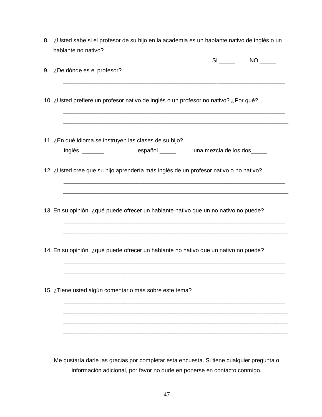8. ¿Usted sabe si el profesor de su hijo en la academia es un hablante nativo de inglés o un hablante no nativo?

|                                                                                          | $SI$ NO $\qquad$ |
|------------------------------------------------------------------------------------------|------------------|
| 9. ¿De dónde es el profesor?                                                             |                  |
|                                                                                          |                  |
| 10. ¿Usted prefiere un profesor nativo de inglés o un profesor no nativo? ¿Por qué?      |                  |
|                                                                                          |                  |
|                                                                                          |                  |
| 11. ¿En qué idioma se instruyen las clases de su hijo?                                   |                  |
| español ______ una mezcla de los dos_____                                                |                  |
| 12. ¿Usted cree que su hijo aprendería más inglés de un profesor nativo o no nativo?     |                  |
|                                                                                          |                  |
|                                                                                          |                  |
| 13. En su opinión, ¿qué puede ofrecer un hablante nativo que un no nativo no puede?      |                  |
|                                                                                          |                  |
|                                                                                          |                  |
| 14. En su opinión, ¿qué puede ofrecer un hablante no nativo que un nativo no puede?      |                  |
|                                                                                          |                  |
|                                                                                          |                  |
| 15. ¿Tiene usted algún comentario más sobre este tema?                                   |                  |
|                                                                                          |                  |
|                                                                                          |                  |
|                                                                                          |                  |
|                                                                                          |                  |
| Me gustaría darle las gracias por completar esta encuesta. Si tiene cualquier pregunta o |                  |

información adicional, por favor no dude en ponerse en contacto conmigo.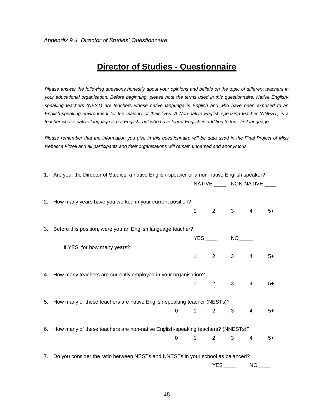## **Director of Studies - Questionnaire**

*Please answer the following questions honestly about your opinions and beliefs on the topic of different teachers in your educational organisation. Before beginning, please note the terms used in this questionnaire, Native Englishspeaking teachers (NEST) are teachers whose native language is English and who have been exposed to an English-speaking environment for the majority of their lives. A Non-native English-speaking teacher (NNEST) is a teacher whose native language is not English, but who have learnt English in addition to their first language.* 

*Please remember that the information you give in this questionnaire will be data used in the Final Project of Miss Rebecca Fitzell and all participants and their organisations will remain unnamed and anonymous.* 

| 1. Are you, the Director of Studies, a native English-speaker or a non-native English speaker? |                                                                                   |                |                                |                              |                |      |
|------------------------------------------------------------------------------------------------|-----------------------------------------------------------------------------------|----------------|--------------------------------|------------------------------|----------------|------|
|                                                                                                |                                                                                   |                |                                | NATIVE _____ NON-NATIVE ____ |                |      |
|                                                                                                | 2. How many years have you worked in your current position?                       |                | $1 \qquad 2 \qquad 3 \qquad 4$ |                              |                | $5+$ |
|                                                                                                | 3. Before this position, were you an English language teacher?                    |                |                                |                              |                |      |
|                                                                                                |                                                                                   |                | $YES$ $NO$                     |                              |                |      |
|                                                                                                | If YES, for how many years?                                                       |                |                                |                              |                |      |
|                                                                                                |                                                                                   |                | $1 \t2 \t3 \t4 \t5+$           |                              |                |      |
|                                                                                                | 4. How many teachers are currently employed in your organisation?                 | $1 \quad \Box$ | $2^{\sim}$                     | $3^{\circ}$                  | $\overline{4}$ | $5+$ |
|                                                                                                |                                                                                   |                |                                |                              |                |      |
|                                                                                                | 5. How many of these teachers are native English-speaking teacher (NESTs)?        |                |                                |                              |                |      |
|                                                                                                |                                                                                   |                | $0 \qquad 1 \qquad 2 \qquad 3$ |                              | 4              | $5+$ |
|                                                                                                | 6. How many of these teachers are non-native English-speaking teachers? (NNESTs)? |                |                                |                              |                |      |
|                                                                                                |                                                                                   |                | $0 \qquad 1 \qquad 2$          | 3                            | 4              | $5+$ |
|                                                                                                | 7. Do you consider the ratio between NESTs and NNESTs in your school as balanced? |                |                                |                              |                |      |
|                                                                                                |                                                                                   |                |                                | <b>YES</b>                   | NO <b>NO</b>   |      |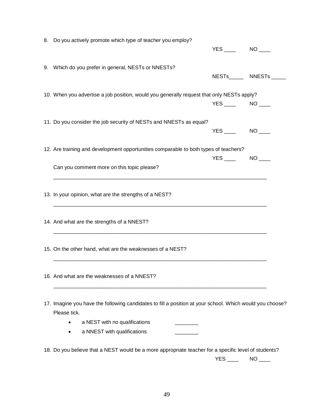| 8. Do you actively promote which type of teacher you employ?                                             |                   |                            |
|----------------------------------------------------------------------------------------------------------|-------------------|----------------------------|
|                                                                                                          |                   |                            |
|                                                                                                          |                   |                            |
| 9. Which do you prefer in general, NESTs or NNESTs?                                                      |                   |                            |
|                                                                                                          |                   | NESTs_______ NNESTs ______ |
|                                                                                                          |                   |                            |
| 10. When you advertise a job position, would you generally request that only NESTs apply?                |                   |                            |
|                                                                                                          | $YES$ NO $\qquad$ |                            |
|                                                                                                          |                   |                            |
| 11. Do you consider the job security of NESTs and NNESTs as equal?                                       |                   |                            |
|                                                                                                          |                   | $NO$ <sub>____</sub>       |
|                                                                                                          |                   |                            |
| 12. Are training and development opportunities comparable to both types of teachers?                     |                   |                            |
|                                                                                                          |                   | NO <sub>2</sub>            |
| Can you comment more on this topic please?                                                               |                   |                            |
|                                                                                                          |                   |                            |
|                                                                                                          |                   |                            |
| 13. In your opinion, what are the strengths of a NEST?                                                   |                   |                            |
|                                                                                                          |                   |                            |
|                                                                                                          |                   |                            |
| 14. And what are the strengths of a NNEST?                                                               |                   |                            |
|                                                                                                          |                   |                            |
|                                                                                                          |                   |                            |
| 15. On the other hand, what are the weaknesses of a NEST?                                                |                   |                            |
|                                                                                                          |                   |                            |
|                                                                                                          |                   |                            |
| 16. And what are the weaknesses of a NNEST?                                                              |                   |                            |
|                                                                                                          |                   |                            |
|                                                                                                          |                   |                            |
| 17. Imagine you have the following candidates to fill a position at your school. Which would you choose? |                   |                            |
| Please tick.                                                                                             |                   |                            |
| a NEST with no qualifications                                                                            |                   |                            |
| a NNEST with qualifications                                                                              |                   |                            |
|                                                                                                          |                   |                            |
| 18. Do you believe that a NEST would be a more appropriate teacher for a specific level of students?     |                   |                            |
|                                                                                                          | YES.              | <b>NO</b>                  |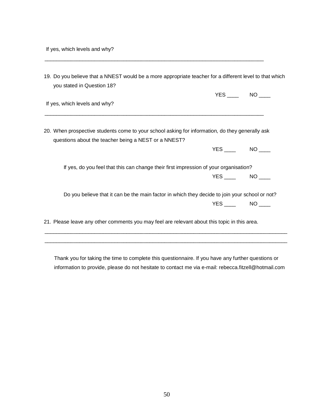| 19. Do you believe that a NNEST would be a more appropriate teacher for a different level to that which<br>you stated in Question 18? |                                                                                                                                                         |                     |  |  |  |  |
|---------------------------------------------------------------------------------------------------------------------------------------|---------------------------------------------------------------------------------------------------------------------------------------------------------|---------------------|--|--|--|--|
|                                                                                                                                       |                                                                                                                                                         | $YES$ NO ____       |  |  |  |  |
|                                                                                                                                       | If yes, which levels and why?                                                                                                                           |                     |  |  |  |  |
|                                                                                                                                       | 20. When prospective students come to your school asking for information, do they generally ask<br>questions about the teacher being a NEST or a NNEST? |                     |  |  |  |  |
|                                                                                                                                       |                                                                                                                                                         | YES NO              |  |  |  |  |
|                                                                                                                                       | If yes, do you feel that this can change their first impression of your organisation?                                                                   |                     |  |  |  |  |
|                                                                                                                                       |                                                                                                                                                         | $YES$ $NO$ $\qquad$ |  |  |  |  |
|                                                                                                                                       | Do you believe that it can be the main factor in which they decide to join your school or not?                                                          |                     |  |  |  |  |
|                                                                                                                                       |                                                                                                                                                         | $YES$ NO $\qquad$   |  |  |  |  |
|                                                                                                                                       | 21. Please leave any other comments you may feel are relevant about this topic in this area.                                                            |                     |  |  |  |  |

\_\_\_\_\_\_\_\_\_\_\_\_\_\_\_\_\_\_\_\_\_\_\_\_\_\_\_\_\_\_\_\_\_\_\_\_\_\_\_\_\_\_\_\_\_\_\_\_\_\_\_\_\_\_\_\_\_\_\_\_\_\_\_\_\_\_\_\_\_\_\_\_\_\_\_

Thank you for taking the time to complete this questionnaire. If you have any further questions or information to provide, please do not hesitate to contact me via e-mail: rebecca.fitzell@hotmail.com

\_\_\_\_\_\_\_\_\_\_\_\_\_\_\_\_\_\_\_\_\_\_\_\_\_\_\_\_\_\_\_\_\_\_\_\_\_\_\_\_\_\_\_\_\_\_\_\_\_\_\_\_\_\_\_\_\_\_\_\_\_\_\_\_\_\_\_\_\_\_\_\_\_\_\_\_\_\_\_\_\_\_\_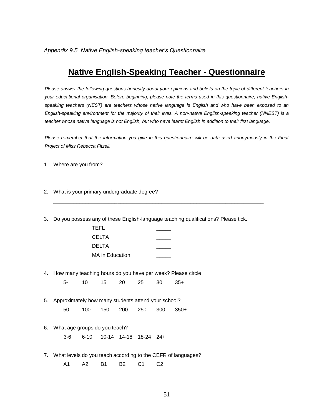*Appendix 9.5 Native English-speaking teacher's Questionnaire*

### **Native English-Speaking Teacher - Questionnaire**

*Please answer the following questions honestly about your opinions and beliefs on the topic of different teachers in your educational organisation. Before beginning, please note the terms used in this questionnaire, native Englishspeaking teachers (NEST) are teachers whose native language is English and who have been exposed to an English-speaking environment for the majority of their lives. A non-native English-speaking teacher (NNEST) is a*  teacher whose native language is not English, but who have learnt English in addition to their first language.

*Please remember that the information you give in this questionnaire will be data used anonymously in the Final Project of Miss Rebecca Fitzell.*

 $\_$  ,  $\_$  ,  $\_$  ,  $\_$  ,  $\_$  ,  $\_$  ,  $\_$  ,  $\_$  ,  $\_$  ,  $\_$  ,  $\_$  ,  $\_$  ,  $\_$  ,  $\_$  ,  $\_$  ,  $\_$  ,  $\_$  ,  $\_$  ,  $\_$  ,  $\_$ 

 $\_$  , and the set of the set of the set of the set of the set of the set of the set of the set of the set of the set of the set of the set of the set of the set of the set of the set of the set of the set of the set of th

- 1. Where are you from?
- 2. What is your primary undergraduate degree?
- 3. Do you possess any of these English-language teaching qualifications? Please tick.

| TEFL                   |  |
|------------------------|--|
| CELTA                  |  |
| DELTA                  |  |
| <b>MA</b> in Education |  |

4. How many teaching hours do you have per week? Please circle

5- 10 15 20 25 30 35+

- 5. Approximately how many students attend your school? 50- 100 150 200 250 300 350+
- 6. What age groups do you teach?
	- 3-6 6-10 10-14 14-18 18-24 24+
- 7. What levels do you teach according to the CEFR of languages?
	- A1 A2 B1 B2 C1 C2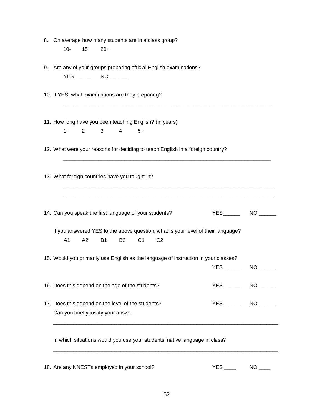| 8. On average how many students are in a class group?              |            |              |                |                |                |                                                                                     |                                                                                  |                 |  |
|--------------------------------------------------------------------|------------|--------------|----------------|----------------|----------------|-------------------------------------------------------------------------------------|----------------------------------------------------------------------------------|-----------------|--|
| $10-$                                                              | 15         | $20+$        |                |                |                |                                                                                     |                                                                                  |                 |  |
|                                                                    |            |              |                |                |                |                                                                                     |                                                                                  |                 |  |
| 9. Are any of your groups preparing official English examinations? |            |              |                |                |                |                                                                                     |                                                                                  |                 |  |
|                                                                    |            |              |                |                |                |                                                                                     |                                                                                  |                 |  |
|                                                                    |            |              |                |                |                |                                                                                     |                                                                                  |                 |  |
| 10. If YES, what examinations are they preparing?                  |            |              |                |                |                |                                                                                     |                                                                                  |                 |  |
|                                                                    |            |              |                |                |                |                                                                                     |                                                                                  |                 |  |
|                                                                    |            |              |                |                |                |                                                                                     |                                                                                  |                 |  |
| 11. How long have you been teaching English? (in years)            |            |              |                |                |                |                                                                                     |                                                                                  |                 |  |
| $1 -$                                                              | $2^{\sim}$ | $\mathbf{3}$ | $\overline{4}$ | $5+$           |                |                                                                                     |                                                                                  |                 |  |
|                                                                    |            |              |                |                |                |                                                                                     |                                                                                  |                 |  |
|                                                                    |            |              |                |                |                | 12. What were your reasons for deciding to teach English in a foreign country?      |                                                                                  |                 |  |
|                                                                    |            |              |                |                |                |                                                                                     |                                                                                  |                 |  |
|                                                                    |            |              |                |                |                |                                                                                     |                                                                                  |                 |  |
| 13. What foreign countries have you taught in?                     |            |              |                |                |                |                                                                                     |                                                                                  |                 |  |
|                                                                    |            |              |                |                |                |                                                                                     |                                                                                  |                 |  |
|                                                                    |            |              |                |                |                |                                                                                     |                                                                                  |                 |  |
|                                                                    |            |              |                |                |                |                                                                                     |                                                                                  |                 |  |
| 14. Can you speak the first language of your students?             |            |              |                |                |                |                                                                                     |                                                                                  | YES NO          |  |
|                                                                    |            |              |                |                |                |                                                                                     |                                                                                  |                 |  |
|                                                                    |            |              |                |                |                |                                                                                     | If you answered YES to the above question, what is your level of their language? |                 |  |
| A <sub>1</sub>                                                     | A2         | <b>B1</b>    | <b>B2</b>      | C <sub>1</sub> | C <sub>2</sub> |                                                                                     |                                                                                  |                 |  |
|                                                                    |            |              |                |                |                | 15. Would you primarily use English as the language of instruction in your classes? |                                                                                  |                 |  |
|                                                                    |            |              |                |                |                |                                                                                     |                                                                                  | NO <sub>2</sub> |  |
|                                                                    |            |              |                |                |                |                                                                                     |                                                                                  |                 |  |
| 16. Does this depend on the age of the students?                   |            |              |                |                |                |                                                                                     |                                                                                  |                 |  |
|                                                                    |            |              |                |                |                |                                                                                     |                                                                                  |                 |  |
| 17. Does this depend on the level of the students?                 |            |              |                |                |                |                                                                                     |                                                                                  |                 |  |
| Can you briefly justify your answer                                |            |              |                |                |                |                                                                                     |                                                                                  |                 |  |
|                                                                    |            |              |                |                |                |                                                                                     |                                                                                  |                 |  |
|                                                                    |            |              |                |                |                |                                                                                     |                                                                                  |                 |  |
|                                                                    |            |              |                |                |                | In which situations would you use your students' native language in class?          |                                                                                  |                 |  |
|                                                                    |            |              |                |                |                |                                                                                     |                                                                                  |                 |  |
|                                                                    |            |              |                |                |                |                                                                                     |                                                                                  |                 |  |
|                                                                    |            |              |                |                |                |                                                                                     |                                                                                  |                 |  |

18. Are any NNESTs employed in your school? The MO COMEX SES COMEX NO COMEX SERVICES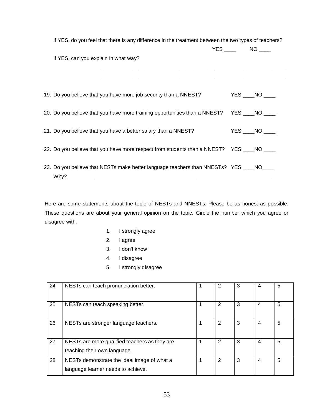| If YES, do you feel that there is any difference in the treatment between the two types of teachers? |                                                                                            |  |  |                     |  |  |  |
|------------------------------------------------------------------------------------------------------|--------------------------------------------------------------------------------------------|--|--|---------------------|--|--|--|
|                                                                                                      |                                                                                            |  |  | $YES$ $NO$ $\qquad$ |  |  |  |
| If YES, can you explain in what way?                                                                 |                                                                                            |  |  |                     |  |  |  |
|                                                                                                      |                                                                                            |  |  |                     |  |  |  |
|                                                                                                      | 19. Do you believe that you have more job security than a NNEST?                           |  |  | $YES$ $NO$ $\qquad$ |  |  |  |
|                                                                                                      | 20. Do you believe that you have more training opportunities than a NNEST? YES ____NO ____ |  |  |                     |  |  |  |
|                                                                                                      | 21. Do you believe that you have a better salary than a NNEST?                             |  |  | $YES$ $NO$ $\qquad$ |  |  |  |
|                                                                                                      | 22. Do you believe that you have more respect from students than a NNEST? YES ____ NO ____ |  |  |                     |  |  |  |
|                                                                                                      | 23. Do you believe that NESTs make better language teachers than NNESTs? YES ____NO____    |  |  |                     |  |  |  |

Why? \_\_\_\_\_\_\_\_\_\_\_\_\_\_\_\_\_\_\_\_\_\_\_\_\_\_\_\_\_\_\_\_\_\_\_\_\_\_\_\_\_\_\_\_\_\_\_\_\_\_\_\_\_\_\_\_\_\_\_\_\_\_\_\_\_\_\_\_\_\_

Here are some statements about the topic of NESTs and NNESTs. Please be as honest as possible. These questions are about your general opinion on the topic. Circle the number which you agree or disagree with.

- 1. I strongly agree
- 2. I agree
- 3. I don't know
- 4. I disagree
- 5. I strongly disagree

| 24 | NESTs can teach pronunciation better.                                             | $\overline{2}$ | 3 | $\overline{4}$ | 5 |
|----|-----------------------------------------------------------------------------------|----------------|---|----------------|---|
| 25 | NESTs can teach speaking better.                                                  | 2              | 3 | 4              | 5 |
| 26 | NESTs are stronger language teachers.                                             | 2              | 3 | $\overline{4}$ | 5 |
| 27 | NESTs are more qualified teachers as they are<br>teaching their own language.     | 2              | 3 | 4              | 5 |
| 28 | NESTs demonstrate the ideal image of what a<br>language learner needs to achieve. | 2              | 3 | 4              | 5 |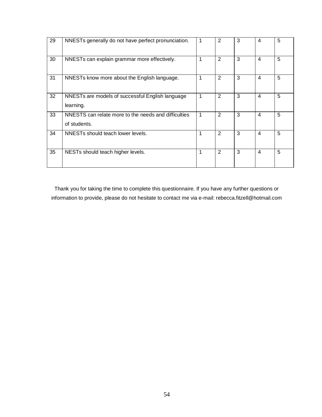| 29 | NNESTs generally do not have perfect pronunciation.                  |   | 2 | 3 | 4              | 5 |
|----|----------------------------------------------------------------------|---|---|---|----------------|---|
| 30 | NNESTs can explain grammar more effectively.                         | 1 | 2 | 3 | $\overline{4}$ | 5 |
| 31 | NNESTs know more about the English language.                         |   | 2 | 3 | 4              | 5 |
| 32 | NNESTs are models of successful English language<br>learning.        | 1 | 2 | 3 | 4              | 5 |
| 33 | NNESTS can relate more to the needs and difficulties<br>of students. | 1 | 2 | 3 | 4              | 5 |
| 34 | NNESTs should teach lower levels.                                    | 1 | 2 | 3 | 4              | 5 |
| 35 | NESTs should teach higher levels.                                    | 1 | 2 | 3 | $\overline{4}$ | 5 |

Thank you for taking the time to complete this questionnaire. If you have any further questions or information to provide, please do not hesitate to contact me via e-mail: rebecca.fitzell@hotmail.com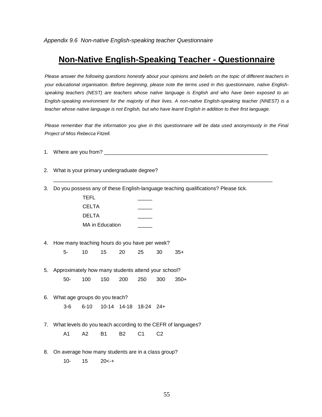### **Non-Native English-Speaking Teacher - Questionnaire**

*Please answer the following questions honestly about your opinions and beliefs on the topic of different teachers in your educational organisation. Before beginning, please note the terms used in this questionnaire, native Englishspeaking teachers (NEST) are teachers whose native language is English and who have been exposed to an English-speaking environment for the majority of their lives. A non-native English-speaking teacher (NNEST) is a*  teacher whose native language is not English, but who have learnt English in addition to their first language.

*Please remember that the information you give in this questionnaire will be data used anonymously in the Final Project of Miss Rebecca Fitzell.* 

1. Where are you from?

\_\_\_\_\_\_\_\_\_\_\_\_\_\_\_\_\_\_\_\_\_\_\_\_\_\_\_\_\_\_\_\_\_\_\_\_\_\_\_\_\_\_\_\_\_\_\_\_\_\_\_\_\_\_\_\_\_\_\_\_\_\_\_\_\_\_\_\_\_\_\_\_\_\_\_

- 2. What is your primary undergraduate degree?
- 3. Do you possess any of these English-language teaching qualifications? Please tick.

| TEFL            |  |
|-----------------|--|
| CELTA           |  |
| DELTA           |  |
| MA in Education |  |

- 4. How many teaching hours do you have per week? 5- 10 15 20 25 30 35+
- 5. Approximately how many students attend your school? 50- 100 150 200 250 300 350+
- 6. What age groups do you teach? 3-6 6-10 10-14 14-18 18-24 24+
- 7. What levels do you teach according to the CEFR of languages? A1 A2 B1 B2 C1 C2
- 8. On average how many students are in a class group?

10- 15 20<-+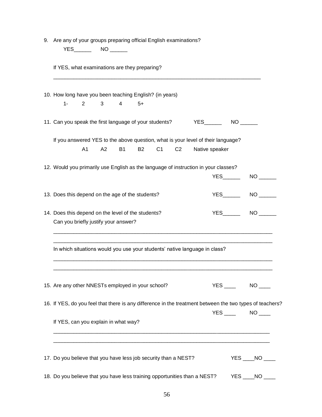| 9. Are any of your groups preparing official English examinations?                         |                |          |                |           |                |                |  |                |                  |                                                                                                          |
|--------------------------------------------------------------------------------------------|----------------|----------|----------------|-----------|----------------|----------------|--|----------------|------------------|----------------------------------------------------------------------------------------------------------|
|                                                                                            |                |          |                |           |                |                |  |                |                  |                                                                                                          |
| If YES, what examinations are they preparing?                                              |                |          |                |           |                |                |  |                |                  |                                                                                                          |
| 10. How long have you been teaching English? (in years)                                    |                |          |                |           |                |                |  |                |                  |                                                                                                          |
| $1 -$                                                                                      |                | $2 \t 3$ | $\overline{4}$ | $5+$      |                |                |  |                |                  |                                                                                                          |
| 11. Can you speak the first language of your students?                                     |                |          |                |           |                |                |  |                | $YES$ NO _______ |                                                                                                          |
| If you answered YES to the above question, what is your level of their language?           |                |          |                |           |                |                |  |                |                  |                                                                                                          |
|                                                                                            | A <sub>1</sub> | A2       | <b>B1</b>      | <b>B2</b> | C <sub>1</sub> | C <sub>2</sub> |  | Native speaker |                  |                                                                                                          |
| 12. Would you primarily use English as the language of instruction in your classes?        |                |          |                |           |                |                |  |                |                  |                                                                                                          |
|                                                                                            |                |          |                |           |                |                |  |                | <b>YES</b>       | NO <sub>2</sub>                                                                                          |
| 13. Does this depend on the age of the students?                                           |                |          |                |           |                |                |  |                | <b>YES</b>       | NO <sub>2</sub>                                                                                          |
| 14. Does this depend on the level of the students?<br>Can you briefly justify your answer? |                |          |                |           |                |                |  |                |                  | YES NO                                                                                                   |
| In which situations would you use your students' native language in class?                 |                |          |                |           |                |                |  |                |                  |                                                                                                          |
| 15. Are any other NNESTs employed in your school?                                          |                |          |                |           |                |                |  |                |                  | YES NO                                                                                                   |
|                                                                                            |                |          |                |           |                |                |  |                |                  | 16. If YES, do you feel that there is any difference in the treatment between the two types of teachers? |
|                                                                                            |                |          |                |           |                |                |  |                |                  | $YES$ NO _____                                                                                           |
| If YES, can you explain in what way?                                                       |                |          |                |           |                |                |  |                |                  |                                                                                                          |
|                                                                                            |                |          |                |           |                |                |  |                |                  |                                                                                                          |
| 17. Do you believe that you have less job security than a NEST?                            |                |          |                |           |                |                |  |                |                  | $YES$ $NO$ $\qquad$                                                                                      |
| 18. Do you believe that you have less training opportunities than a NEST?                  |                |          |                |           |                |                |  |                |                  | $YES$ $NO$                                                                                               |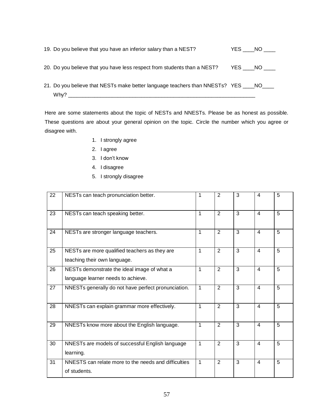| 19. Do you believe that you have an inferior salary than a NEST?                                |        | YES NO |
|-------------------------------------------------------------------------------------------------|--------|--------|
| 20. Do you believe that you have less respect from students than a NEST?                        | YES NO |        |
| 21. Do you believe that NESTs make better language teachers than NNESTs? YES ____NO____<br>Whv? |        |        |

Here are some statements about the topic of NESTs and NNESTs. Please be as honest as possible. These questions are about your general opinion on the topic. Circle the number which you agree or disagree with.

- 1. I strongly agree
- 2. I agree
- 3. I don't know
- 4. I disagree
- 5. I strongly disagree

| 22 | NESTs can teach pronunciation better.                                             | 1 | $\overline{2}$ | 3              | 4                       | 5              |
|----|-----------------------------------------------------------------------------------|---|----------------|----------------|-------------------------|----------------|
| 23 | NESTs can teach speaking better.                                                  | 1 | 2              | 3              | 4                       | 5              |
| 24 | NESTs are stronger language teachers.                                             | 1 | $\overline{2}$ | $\overline{3}$ | $\overline{4}$          | 5              |
| 25 | NESTs are more qualified teachers as they are<br>teaching their own language.     | 1 | $\overline{2}$ | 3              | $\overline{4}$          | 5              |
| 26 | NESTs demonstrate the ideal image of what a<br>language learner needs to achieve. | 1 | $\overline{2}$ | $\overline{3}$ | $\overline{4}$          | $\overline{5}$ |
| 27 | NNESTs generally do not have perfect pronunciation.                               | 1 | $\overline{2}$ | 3              | 4                       | 5              |
| 28 | NNESTs can explain grammar more effectively.                                      | 1 | $\overline{2}$ | $\overline{3}$ | $\overline{4}$          | $\overline{5}$ |
| 29 | NNESTs know more about the English language.                                      | 1 | $\overline{2}$ | 3              | $\overline{4}$          | 5              |
| 30 | NNESTs are models of successful English language<br>learning.                     | 1 | $\overline{2}$ | 3              | $\overline{4}$          | 5              |
| 31 | NNESTS can relate more to the needs and difficulties<br>of students.              | 1 | $\overline{2}$ | 3              | $\overline{\mathbf{4}}$ | 5              |